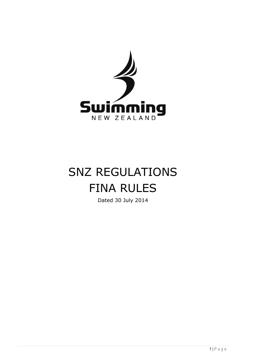

# SNZ REGULATIONS FINA RULES

Dated 30 July 2014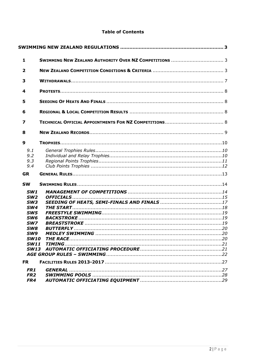# **Table of Contents**

| $\mathbf{1}$                                                                                                                                                              |                                              |
|---------------------------------------------------------------------------------------------------------------------------------------------------------------------------|----------------------------------------------|
| $\overline{\mathbf{2}}$                                                                                                                                                   |                                              |
| 3                                                                                                                                                                         |                                              |
| 4                                                                                                                                                                         |                                              |
| 5                                                                                                                                                                         |                                              |
| 6                                                                                                                                                                         |                                              |
| $\overline{\mathbf{z}}$                                                                                                                                                   |                                              |
| 8                                                                                                                                                                         |                                              |
| $\boldsymbol{9}$                                                                                                                                                          |                                              |
| 9.1<br>9.2<br>9.3<br>9,4                                                                                                                                                  |                                              |
| <b>GR</b>                                                                                                                                                                 |                                              |
| <b>SW</b>                                                                                                                                                                 |                                              |
| SW1<br>SW2<br>SW <sub>3</sub><br>SW <sub>4</sub><br>SW <sub>5</sub><br>SW <sub>6</sub><br>SW7<br>SW <sub>8</sub><br>SW <sub>9</sub><br>SW10<br><b>SW11</b><br><b>SW13</b> |                                              |
| <b>FR</b>                                                                                                                                                                 |                                              |
| FR1<br>FR <sub>2</sub><br>FR4                                                                                                                                             | GENERAL …………………………………………………………………………………………27 |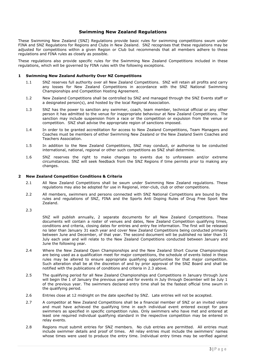# **Swimming New Zealand Regulations**

<span id="page-2-0"></span>These Swimming New Zealand (SNZ) Regulations provide basic rules for swimming competitions swum under FINA and SNZ Regulations for Regions and Clubs in New Zealand. SNZ recognises that these regulations may be adjusted for competitions within a given Region or Club but recommends that all members adhere to these regulations and FINA rules as closely as possible.

These regulations also provide specific rules for the Swimming New Zealand Competitions included in these regulations, which will be governed by FINA rules with the following exceptions.

# <span id="page-2-1"></span>**1 Swimming New Zealand Authority Over NZ Competitions**

- 1.1 SNZ reserves full authority over all New Zealand Competitions. SNZ will retain all profits and carry any losses for New Zealand Competitions in accordance with the SNZ National Swimming Championships and Competition Hosting Agreement.
- 1.2 New Zealand Competitions shall be controlled by SNZ and managed through the SNZ Events staff or a designated person(s), and hosted by the local Regional Association.
- 1.3 SNZ has the power to sanction any swimmer, coach, team member, technical official or any other person it has admitted to the venue for inappropriate behaviour at New Zealand Competitions. The sanction may include suspension from a race or the competition or expulsion from the venue or competition. SNZ shall advise the appropriate region of sanctions imposed.
- 1.4 In order to be granted accreditation for access to New Zealand Competitions, Team Managers and Coaches must be members of either Swimming New Zealand or the New Zealand Swim Coaches and Teachers Association.
- 1.5 In addition to the New Zealand Competitions, SNZ may conduct, or authorise to be conducted international, national, regional or other such competitions as SNZ shall determine.
- 1.6 SNZ reserves the right to make changes to events due to unforeseen and/or extreme circumstances. SNZ will seek feedback from the SNZ Regions if time permits prior to making any changes.

#### <span id="page-2-2"></span>**2 New Zealand Competition Conditions & Criteria**

- 2.1 All New Zealand Competitions shall be swum under Swimming New Zealand regulations. These regulations may also be adopted for use in Regional, inter-club, club or other competitions.
- 2.2 All members, swimmers and persons connected with SNZ National Competitions are bound by the rules and regulations of SNZ, FINA and the Sports Anti Doping Rules of Drug Free Sport New Zealand.
- 2.3

SNZ will publish annually, 2 separate documents for all New Zealand Competitions. These documents will contain a roster of venues and dates, New Zealand Competition qualifying times, conditions and criteria, closing dates for entries and entry fee information. The first will be released no later than January 31 each year and cover New Zealand Competitions being conducted primarily between June and December, of that year. The second document will be published no later than 31 July each year and will relate to the New Zealand Competitions conducted between January and June the following year.

- 2.4 Where the New Zealand Open Championships and the New Zealand Short Course Championships are being used as a qualification meet for major competitions, the schedule of events listed in these rules may be altered to ensure appropriate qualifying opportunities for that major competition. Such alteration shall be at the discretion of and by prior approval of the SNZ Board and shall be notified with the publications of conditions and criteria in 2.3 above.
- 2.5 The qualifying period for all New Zealand Championships and Competitions in January through June will begin the 1 of January the previous year and for events in July through December will be July 1 of the previous year. The swimmers declared entry time shall be the fastest official time swum in the qualifying period.
- 2.6 Entries close at 12 midnight on the date specified by SNZ. Late entries will not be accepted.
- 2.7 A competitor at New Zealand Competitions shall be a financial member of SNZ or an invited visitor and must have achieved the qualifying time in each individual event entered except for para swimmers as specified in specific competition rules. Only swimmers who have met and entered at least one required individual qualifying standard in the respective competition may be entered in relay events.
- 2.8 Regions must submit entries for SNZ members. No club entries are permitted. All entries must include swimmer details and proof of times. All relay entries must include the swimmers' names whose times were used to produce the entry time. Individual entry times may be verified against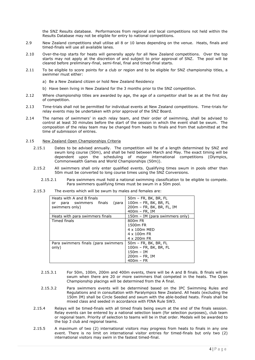the SNZ Results database. Performances from regional and local competitions not held within the Results Database may not be eligible for entry to national competitions.

- 2.9 New Zealand competitions shall utilise all 8 or 10 lanes depending on the venue. Heats, finals and timed-finals will use all available lanes.
- 2.10 Over-the-top starts for heats will generally apply for all New Zealand competitions. Over the top starts may not apply at the discretion of and subject to prior approval of SNZ. The pool will be cleared before preliminary-final, semi-final, final and timed-final starts.
- 2.11 To be eligible to score points for a club or region and to be eligible for SNZ championship titles, a swimmer must either:
	- a) Be a New Zealand citizen or hold New Zealand Residency
	- b) Have been living in New Zealand for the 3 months prior to the SNZ competition.
- 2.12 Where championship titles are awarded by age, the age of a competitor shall be as at the first day of competition.
- 2.13 Time-trials shall not be permitted for individual events at New Zealand competitions. Time-trials for relay events may be undertaken with prior approval of the SNZ Board.
- 2.14 The names of swimmers' in each relay team, and their order of swimming, shall be advised to control at least 30 minutes before the start of the session in which the event shall be swum. The composition of the relay team may be changed from heats to finals and from that submitted at the time of submission of entries.

# 2.15 New Zealand Open Championships Criteria

- 2.15.1 Dates to be advised annually. The competition will be of a length determined by SNZ and swum long course (50m), and shall be held between March and May. The exact timing will be dependent upon the scheduling of major international competitions (Olympics, Commonwealth Games and World Championships (50m)).
- 2.15.2 All swimmers shall only enter qualified events. Qualifying times swum in pools other than 50m must be converted to long course times using the SNZ Conversions.
	- 2.15.2.1 Para swimmers must hold a national swimming classification to be eligible to compete. Para swimmers qualifying times must be swum in a 50m pool.

| Heats with A and B finals           | 50m - FR, BK, BR, FL           |  |  |
|-------------------------------------|--------------------------------|--|--|
| para swimmers finals<br>(para<br>or | 100m - FR, BK, BR, FL          |  |  |
| swimmers only)                      | 200m - FR, BK, BR, FL, IM      |  |  |
|                                     | $400m$ – FR, IM                |  |  |
| Heats with para swimmers finals     | 150m - IM (para swimmers only) |  |  |
| Timed finals                        | 800 <sub>m</sub> FR            |  |  |
|                                     | 1500m FR                       |  |  |
|                                     | $4 \times 100$ MFD             |  |  |
|                                     | 4 x 100m FR                    |  |  |
|                                     | 4 x 200 m FR                   |  |  |
| Para swimmers finals (para swimmers | 50m - FR, BK, BR, FL           |  |  |
| only)                               | 100m - FR, BK, BR, FL          |  |  |
|                                     | $150m - IM$                    |  |  |
|                                     | $200m$ – FR, IM                |  |  |
|                                     | $400m - FR$                    |  |  |

2.15.3 The events which will be swum by males and females are:

- 2.15.3.1 For 50m, 100m, 200m and 400m events, there will be A and B finals. B finals will be swum when there are 20 or more swimmers that competed in the heats. The Open Championship placings will be determined from the A final.
- 2.15.3.2 Para swimmers events will be determined based on the IPC Swimming Rules and Regulations and in consultation with Paralympics New Zealand. All heats (excluding the 150m IM) shall be Circle Seeded and swum with the able-bodied heats. Finals shall be mixed class and seeded in accordance with FINA Rule SW3.
- 2.15.4 Relays will be timed-finals with all timed finals being swum at the end of the finals session. Relay events can be entered by a national selection team (for selection purposes), club team or regional team. Priority of selection to teams will be in that order. Medals will be awarded to the top 3 club and regional teams.
- 2.15.5 A maximum of two (2) international visitors may progress from heats to finals in any one event. There is no limit on international visitor entries for timed-finals but only two (2) international visitors may swim in the fastest timed-final.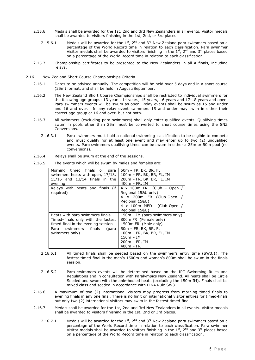- 2.15.6 Medals shall be awarded for the 1st, 2nd and 3rd New Zealanders in all events. Visitor medals shall be awarded to visitors finishing in the 1st, 2nd, or 3rd places.
	- 2.15.6.1 Medals will be awarded for the  $1<sup>st</sup>$ , 2<sup>nd</sup> and 3<sup>rd</sup> New Zealand para swimmers based on a percentage of the World Record time in relation to each classification. Para swimmer Visitor medals shall be awarded to visitors finishing in the  $1<sup>st</sup>$ ,  $2<sup>nd</sup>$  and  $3<sup>rd</sup>$  places based on a percentage of the World Record time in relation to each classification.
- 2.15.7 Championship certificates to be presented to the New Zealanders in all A finals, including relays.
- 2.16 New Zealand Short Course Championships Criteria
	- 2.16.1 Dates to be advised annually. The competition will be held over 5 days and in a short course (25m) format, and shall be held in August/September.
	- 2.16.2 The New Zealand Short Course Championships shall be restricted to individual swimmers for the following age groups: 13 years, 14 years, 15 years, 16 years and 17-18 years and open. Para swimmers events will be swum as open. Relay events shall be swum as 15 and under and 16 and over. In any relay event swimmers 15 and under may swim in either their correct age group or 16 and over, but not both.
	- 2.16.3 All swimmers (excluding para swimmers) shall only enter qualified events. Qualifying times swum in pools other than 25m must be converted to short course times using the SNZ Conversions.
		- 2.16.3.1 Para swimmers must hold a national swimming classification to be eligible to compete and must qualify for at least one event and may enter up to two (2) unqualified events. Para swimmers qualifying times can be swum in either a 25m or 50m pool (no conversions).
	- 2.16.4 Relays shall be swum at the end of the sessions.
	- 2.16.5 The events which will be swum by males and females are:

| Morning timed finals or para<br>swimmers heats with open, 17/18,<br>$15/16$ and $13/14$ finals in the<br>evening | 50m - FR, BK, BR, FL<br>100m - FR, BK, BR, FL, IM<br>200m - FR, BK, BR, FL, IM<br>$400m$ – FR, IM                                                    |  |  |
|------------------------------------------------------------------------------------------------------------------|------------------------------------------------------------------------------------------------------------------------------------------------------|--|--|
| Relays with heats and finals (if<br>reguired)                                                                    | $4 \times 100$ m FR (Club – Open /<br>Regional 15&U only)<br>4 x 200m FR (Club-Open<br>Regional 15&U)<br>4 x 100m MED (Club-Open /<br>Regional 15&U) |  |  |
| Heats with para swimmers finals                                                                                  | 150m – IM (para swimmers only)                                                                                                                       |  |  |
| Timed-finals only with the fastest                                                                               | 800m FR (Female only)                                                                                                                                |  |  |
| timed-final in the evening session                                                                               | 1500m FR (Male only)                                                                                                                                 |  |  |
| Para swimmers finals<br>(para                                                                                    | 50m - FR, BK, BR, FL                                                                                                                                 |  |  |
| swimmers only)                                                                                                   | 100m - FR, BK, BR, FL, IM                                                                                                                            |  |  |
|                                                                                                                  | 150m – IM                                                                                                                                            |  |  |
|                                                                                                                  | $200m$ – FR, IM                                                                                                                                      |  |  |
|                                                                                                                  | $400m - FR$                                                                                                                                          |  |  |

- 2.16.5.1 All timed finals shall be seeded based on the swimmer's entry time (SW3.1). The fastest timed-final in the men's 1500m and women's 800m shall be swum in the finals session.
- 2.16.5.2 Para swimmers events will be determined based on the IPC Swimming Rules and Regulations and in consultation with Paralympics New Zealand. All heats shall be Circle Seeded and swum with the able-bodied heats (excluding the 150m IM). Finals shall be mixed class and seeded in accordance with FINA Rule SW3.
- 2.16.6 A maximum of two (2) international visitors may progress from morning timed finals to evening finals in any one final. There is no limit on international visitor entries for timed-finals but only two (2) international visitors may swim in the fastest timed-final.
- 2.16.7 Medals shall be awarded for the 1st, 2nd and 3rd New Zealanders in all events. Visitor medals shall be awarded to visitors finishing in the 1st, 2nd or 3rd places.
	- 2.16.7.1 Medals will be awarded for the  $1<sup>st</sup>$ , 2<sup>nd</sup> and 3<sup>rd</sup> New Zealand para swimmers based on a percentage of the World Record time in relation to each classification. Para swimmer Visitor medals shall be awarded to visitors finishing in the  $1<sup>st</sup>$ ,  $2<sup>nd</sup>$  and  $3<sup>rd</sup>$  places based on a percentage of the World Record time in relation to each classification.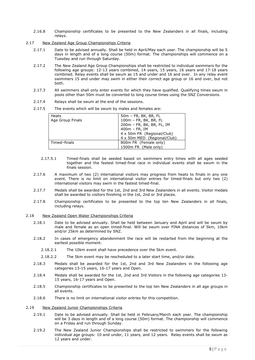- 2.16.8 Championship certificates to be presented to the New Zealanders in all finals, including relays.
- 2.17 New Zealand Age Group Championships Criteria
	- 2.17.1 Date to be advised annually. Shall be held in April/May each year. The championship will be 5 days in length and of a long course (50m) format. The championships will commence on a Tuesday and run through Saturday.
	- 2.17.2 The New Zealand Age Group Championships shall be restricted to individual swimmers for the following age groups: 12-13 years combined, 14 years, 15 years, 16 years and 17-18 years combined. Relay events shall be swum as 15 and under and 16 and over. In any relay event swimmers 15 and under may swim in either their correct age group or 16 and over, but not both.
	- 2.17.3 All swimmers shall only enter events for which they have qualified. Qualifying times swum in pools other than 50m must be converted to long course times using the SNZ Conversions.
	- 2.17.4 Relays shall be swum at the end of the sessions.
	- 2.17.5 The events which will be swum by males and females are:

| Heats<br>Age Group Finals | $50m$ – FR, BK, BR, FL<br>100m - FR, BK, BR, FL<br>200m - FR, BK, BR, FL, IM |  |
|---------------------------|------------------------------------------------------------------------------|--|
|                           | 400m - FR, IM                                                                |  |
|                           | 4 x 50m FR (Regional/Club)                                                   |  |
|                           | 4 x 50m MED (Regional/Club)                                                  |  |
| Timed-finals              | 800m FR (Female only)                                                        |  |
|                           | 1500m FR (Male only)                                                         |  |

- 2.17.5.1 Timed-finals shall be seeded based on swimmers entry times with all ages seeded together and the fastest timed-final race in individual events shall be swum in the finals session.
- 2.17.6 A maximum of two (2) international visitors may progress from heats to finals in any one event. There is no limit on international visitor entries for timed-finals but only two (2) international visitors may swim in the fastest timed-final.
- 2.17.7 Medals shall be awarded for the 1st, 2nd and 3rd New Zealanders in all events. Visitor medals shall be awarded to visitors finishing in the 1st, 2nd or 3rd places.
- 2.17.8 Championship certificates to be presented to the top ten New Zealanders in all finals, including relays.
- 2.18 New Zealand Open Water Championships Criteria
	- 2.18.1 Date to be advised annually. Shall be held between January and April and will be swum by male and female as an open timed-final. Will be swum over FINA distances of 5km, 10km and/or 25km as determined by SNZ.
	- 2.18.2 In cases of emergency abandonment the race will be restarted from the beginning at the earliest possible moment.
		- 2.18.2.1 The 10km event shall have precedence over the 5km event.
		- 2.18.2.2 The 5km event may be rescheduled to a later start time, and/or date.
	- 2.18.3 Medals shall be awarded for the 1st, 2nd and 3rd New Zealanders in the following age categories 13-15 years, 16-17 years and Open.
	- 2.18.4 Medals shall be awarded for the 1st, 2nd and 3rd Visitors in the following age categories 13- 15 years, 16-17 years and Open.
	- 2.18.5 Championship certificates to be presented to the top ten New Zealanders in all age groups in all events.
	- 2.18.6 There is no limit on international visitor entries for this competition.
- 2.19 New Zealand Junior Championships Criteria
	- 2.19.1 Date to be advised annually. Shall be held in February/March each year. The championship will be 3 days in length and of a long course (50m) format. The championship will commence on a Friday and run through Sunday.
	- 2.19.2 The New Zealand Junior Championships shall be restricted to swimmers for the following individual age groups: 10 and under, 11 years, and 12 years. Relay events shall be swum as 12 years and under.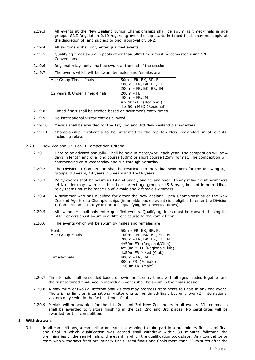- 2.19.3 All events at the New Zealand Junior Championships shall be swum as timed-finals in age groups. SNZ Regulation 2.10 regarding over the top starts in timed-finals may not apply at the discretion of, and subject to prior approval of, SNZ.
- 2.19.4 All swimmers shall only enter qualified events.
- 2.19.5 Qualifying times swum in pools other than 50m times must be converted using SNZ Conversions.
- 2.19.6 Regional relays only shall be swum at the end of the sessions.
- 2.19.7 The events which will be swum by males and females are:

| Age Group Timed-finals                                                                                                                                                                                                        | $50m$ – FR, BK, BR, FL<br>100m - FR, BK, BR, FL<br>200m - FR, BK, BR, IM          |
|-------------------------------------------------------------------------------------------------------------------------------------------------------------------------------------------------------------------------------|-----------------------------------------------------------------------------------|
| 12 years & Under Timed-finals                                                                                                                                                                                                 | $200m - FL$<br>$400m$ – FR, IM<br>4 x 50m FR (Regional)<br>4 x 50m MED (Regional) |
| The collection of the state of the collection of the state of the state of the state of the state of the state of the state of the state of the state of the state of the state of the state of the state of the state of the | a a dhe san san dheessa an dhan an bann a bheas an                                |

- 2.19.8 Timed-finals shall be seeded based on swimmer's entry times.
- 2.19.9 No international visitor entries allowed.
- 2.19.10 Medals shall be awarded for the 1st, 2nd and 3rd New Zealand place-getters.
- 2.19.11 Championship certificates to be presented to the top ten New Zealanders in all events, including relays.

#### 2.20 New Zealand Division II Competition Criteria

- 2.20.1 Date to be advised annually. Shall be held in March/April each year. The competition will be 4 days in length and of a long course (50m) or short course (25m) format. The competition will commencing on a Wednesday and run through Saturday.
- 2.20.2 The Division II Competition shall be restricted to individual swimmers for the following age groups: 13 years, 14 years, 15 years and 16-18 years.
- 2.20.3 Relay events shall be swum as 14 and under, and 15 and over. In any relay event swimmers 14 & under may swim in either their correct age group or 15 & over, but not in both. Mixed relay teams must be made up of 2 male and 2 female swimmers.
- 2.20.4 A swimmer who has qualified for either the New Zealand Open Championships or the New Zealand Age Group Championships (in an able bodied event) is ineligible to enter the Division II Competition in that year (includes qualifying by converted times).
- 2.20.5 All swimmers shall only enter qualified events. Qualifying times must be converted using the SNZ Conversions if swum in a different course to the competition.
- 2.20.6 The events which will be swum by males and females are:

| Heats            | $50m$ – FR, BK, BR, FL    |
|------------------|---------------------------|
| Age Group Finals | 100m - FR, BK, BR, FL, IM |
|                  | 200m - FR, BK, BR, FL, IM |
|                  | 4x50m FR (Regional/Club)  |
|                  | 4x50m MED (Regional/Club) |
|                  | 4x50m FR Mixed (Club)     |
| Timed-finals     | $400m$ – FR, IM           |
|                  | 800m FR (Female)          |
|                  | 1500m FR (Male)           |

- 2.20.7 Timed-finals shall be seeded based on swimmer's entry times with all ages seeded together and the fastest timed-final race in individual events shall be swum in the finals session.
- 2.20.8 A maximum of two (2) international visitors may progress from heats to finals in any one event. There is no limit on international visitor entries for timed-finals but only two (2) international visitors may swim in the fastest timed-final.
- 2.20.9 Medals will be awarded for the 1st, 2nd and 3rd New Zealanders in all events. Visitor medals shall be awarded to visitors finishing in the 1st, 2nd and 3rd places. No certificates will be awarded for this competition.

# <span id="page-6-0"></span>**3 Withdrawals**

3.1 In all competitions, a competitor or team not wishing to take part in a preliminary final, semi final and final in which qualification was earned shall withdraw within 30 minutes following the preliminaries or the semi-finals of the event in which the qualification took place. Any competitor or team who withdraws from preliminary finals, semi finals and finals more than 30 minutes after the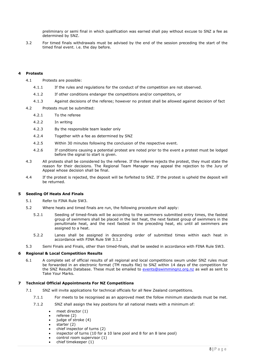preliminary or semi final in which qualification was earned shall pay without excuse to SNZ a fee as determined by SNZ.

3.2 For timed finals withdrawals must be advised by the end of the session preceding the start of the timed final event. i.e. the day before.

# <span id="page-7-0"></span>**4 Protests**

- 4.1 Protests are possible:
	- 4.1.1 If the rules and regulations for the conduct of the competition are not observed.
	- 4.1.2 If other conditions endanger the competitions and/or competitors, or
	- 4.1.3 Against decisions of the referee; however no protest shall be allowed against decision of fact
- 4.2 Protests must be submitted:
	- 4.2.1 To the referee
	- 4.2.2 In writing
	- 4.2.3 By the responsible team leader only
	- 4.2.4 Together with a fee as determined by SNZ
	- 4.2.5 Within 30 minutes following the conclusion of the respective event.
	- 4.2.6 If conditions causing a potential protest are noted prior to the event a protest must be lodged before the signal to start is given.
- 4.3 All protests shall be considered by the referee. If the referee rejects the protest, they must state the reason for their decisions. The Regional Team Manager may appeal the rejection to the Jury of Appeal whose decision shall be final.
- 4.4 If the protest is rejected, the deposit will be forfeited to SNZ. If the protest is upheld the deposit will be returned.

# <span id="page-7-1"></span>**5 Seeding Of Heats And Finals**

- 5.1 Refer to FINA Rule SW3.
- 5.2 Where heats and timed finals are run, the following procedure shall apply:
	- 5.2.1 Seeding of timed-finals will be according to the swimmers submitted entry times, the fastest group of swimmers shall be placed in the last heat, the next fastest group of swimmers in the penultimate heat, and the next fastest in the preceding heat, etc until all swimmers are assigned to a heat.
	- 5.2.2 Lanes shall be assigned in descending order of submitted times within each heat in accordance with FINA Rule SW 3.1.2
- 5.3 Semi Finals and Finals, other than timed-finals, shall be seeded in accordance with FINA Rule SW3.

#### <span id="page-7-2"></span>**6 Regional & Local Competition Results**

6.1 A complete set of official results of all regional and local competitions swum under SNZ rules must be forwarded in an electronic format (TM results file) to SNZ within 14 days of the competition for the SNZ Results Database. These must be emailed to [events@swimmingnz.org.nz](mailto:events@swimmingnz.org.nz) as well as sent to Take Your Marks.

## <span id="page-7-3"></span>**7 Technical Official Appointments For NZ Competitions**

- 7.1 SNZ will invite applications for technical officials for all New Zealand competitions.
	- 7.1.1 For meets to be recognised as an approved meet the follow minimum standards must be met.
	- 7.1.2 SNZ shall assign the key positions for all national meets with a minimum of:
		- meet director (1)
		- referee (2)
		- judge of stroke (4)
		- starter (2)
		- chief inspector of turns (2)
		- inspector of turns (10 for a 10 lane pool and 8 for an 8 lane pool)
		- control room supervisor (1)
		- chief timekeeper (1)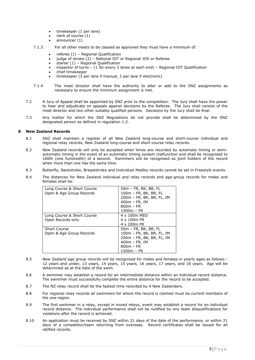- $\bullet$  timekeeper (1 per lane)
- clerk of course (1)
- announcer (1)
- 7.1.3 For all other meets to be classed as approved they must have a minimum of:
	- referee (1) Regional Qualification
	- judge of stroke (2) National IOT or Regional JOS or Referee
	- starter  $(1)$  Regional Qualification
	- inspector of turns (1 for every 3 lanes at each end) Regional IOT Qualification
	- chief timekeeper
	- timekeeper (3 per lane if manual, 1 per lane if electronic)
- 7.1.4 The meet director shall have the authority to alter or add to the SNZ assignments as necessary to ensure the minimum assignment is met.
- 7.2 A Jury of Appeal shall be appointed by SNZ prior to the competition. The Jury shall have the power to hear and adjudicate on appeals against decisions by the Referee. The Jury shall consist of the meet director and two other suitably qualified persons. Decisions by the Jury shall be final.
- 7.3 Any matter for which the SNZ Regulations do not provide shall be determined by the SNZ designated person as defined in regulation 1.2.

# <span id="page-8-0"></span>**8 New Zealand Records**

- 8.1 SNZ shall maintain a register of all New Zealand long-course and short-course individual and regional relay records, New Zealand long-course and short-course relay records.
- 8.2 New Zealand records will only be accepted when times are recorded by automatic timing or semiautomatic timing in the event of an automatic timing system malfunction and shall be recognised to 100th (one hundredth) of a second. Swimmers will be recognised as joint holders of the record when more than one has the same time.
- 8.3 Butterfly, Backstroke, Breaststroke and Individual Medley records cannot be set in Freestyle events.
- 8.4 The distances for New Zealand individual and relay records and age-group records for males and females shall be:

| Long Course & Short Course | 50m - FR, BK, BR, FL      |  |  |
|----------------------------|---------------------------|--|--|
| Open & Age Group Records   | 100m - FR, BK, BR, FL     |  |  |
|                            | 200m - FR, BK, BR, FL, IM |  |  |
|                            | $400m$ – FR, IM           |  |  |
|                            | $800m - FR$               |  |  |
|                            | $1500m - FR$              |  |  |
| Long Course & Short Course | 4 x 100m MED              |  |  |
| Open Records only          | $4 \times 100$ m FR       |  |  |
|                            | 4 x 200 m FR              |  |  |
| <b>Short Course</b>        | 50m - FR, BK, BR, FL      |  |  |
| Open & Age Group Records   | 100m - FR, BK, BR, FL, IM |  |  |
|                            | 200m - FR, BK, BR, FL, IM |  |  |
|                            | $400m$ – FR, IM           |  |  |
|                            | $800m - FR$               |  |  |
|                            | 1500m - FR                |  |  |

- 8.5 New Zealand age group records will be recognised for males and females in yearly ages as follows:- 12 years and under, 13 years, 14 years, 15 years, 16 years, 17 years, and 18 years. Age will be determined as at the date of the swim.
- 8.6 A swimmer may establish a record for an intermediate distance within an individual record distance. The swimmer must successfully complete the entire distance for the record to be accepted.
- 8.7 The NZ relay record shall be the fastest time recorded by 4 New Zealanders.
- 8.8 For regional relay records all swimmers for whom the record is claimed must be current members of the one region.
- 8.9 The first swimmer in a relay, except in mixed relays, event may establish a record for an individual record distance. The individual performance shall not be nullified by any team disqualifications for violations after the record is achieved.
- 8.10 An application must be received by SNZ within 21 days of the date of the performance, or within 21 days of a competitor/team returning from overseas. Record certificates shall be issued for all ratified records.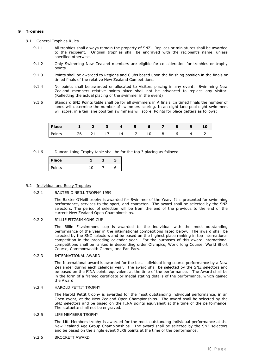# <span id="page-9-0"></span>**9 Trophies**

## <span id="page-9-1"></span>9.1 General Trophies Rules

- 9.1.1 All trophies shall always remain the property of SNZ. Replicas or miniatures shall be awarded to the recipient. Original trophies shall be engraved with the recipient's name, unless specified otherwise.
- 9.1.2 Only Swimming New Zealand members are eligible for consideration for trophies or trophy points.
- 9.1.3 Points shall be awarded to Regions and Clubs based upon the finishing position in the finals or timed finals of the relative New Zealand Competitions.
- 9.1.4 No points shall be awarded or allocated to Visitors placing in any event. Swimming New Zealand members relative points place shall not be advanced to replace any visitor. (Reflecting the actual placing of the swimmer in the event)
- <span id="page-9-3"></span>9.1.5 Standard SNZ Points table shall be for all swimmers in A finals. In timed finals the number of lanes will determine the number of swimmers scoring. In an eight lane pool eight swimmers will score, in a ten lane pool ten swimmers will score. Points for place getters as follows:

| <b>Place</b> |          |          | -               |                       |         | n  |   | o | o | 10 |
|--------------|----------|----------|-----------------|-----------------------|---------|----|---|---|---|----|
| Points       | ገሬ<br>∠∪ | <b>.</b> | <b>. .</b><br>- | $\overline{a}$<br>. . | -<br>ᆠᄼ | 10 | 8 |   |   |    |

<span id="page-9-4"></span>9.1.6 Duncan Laing Trophy table shall be for the top 3 placing as follows:

| <b>Place</b> |     |   |
|--------------|-----|---|
| Points       | י 1 | n |

#### <span id="page-9-2"></span>9.2 Individual and Relay Trophies

#### 9.2.1 BAXTER O'NEILL TROPHY 1959

The Baxter O'Neill trophy is awarded for Swimmer of the Year. It is presented for swimming performance, services to the sport, and character. The award shall be selected by the SNZ selectors. The period of selection will be from the end of the previous to the end of the current New Zealand Open Championships.

# 9.2.2 BILLIE FITZSIMMONS CUP

The Billie Fitzsimmons cup is awarded to the individual with the most outstanding performance of the year in the international competitions listed below. The award shall be selected by the SNZ selectors and be based on the highest place ranking in top international competition in the preceding calendar year. For the purposes of this award international competitions shall be ranked in descending order Olympics, World long Course, World Short Course, Commonwealth Games, and Pan Pacs.

# 9.2.3 INTERNATIONAL AWARD

The International award is awarded for the best individual long course performance by a New Zealander during each calendar year. The award shall be selected by the SNZ selectors and be based on the FINA points equivalent at the time of the performance. The Award shall be in the form of a framed certificate or medal stating details of the performance, which gained the Award.

# 9.2.4 HAROLD PETTIT TROPHY

The Harold Pettit trophy is awarded for the most outstanding individual performance, in an Open event, at the New Zealand Open Championships. The award shall be selected by the SNZ selectors and be based on the FINA points equivalent at the time of the performance. The statuette shall not be engraved.

# 9.2.5 LIFE MEMBERS TROPHY

The Life Members trophy is awarded for the most outstanding individual performance at the New Zealand Age Group Championships. The award shall be selected by the SNZ selectors and be based on the single event XLR8 points at the time of the performance.

#### 9.2.6 BROCKETT AWARD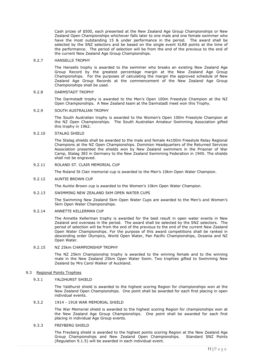Cash prizes of \$500, each presented at the New Zealand Age Group Championships or New Zealand Open Championships whichever falls later to one male and one female swimmer who have the most outstanding 15 & under performance in the period. The award shall be selected by the SNZ selectors and be based on the single event XLR8 points at the time of the performance. The period of selection will be from the end of the previous to the end of the current New Zealand Age Group Championships.

#### 9.2.7 HANSELLS TROPHY

The Hansells trophy is awarded to the swimmer who breaks an existing New Zealand Age Group Record by the greatest percentage margin at the New Zealand Age Group Championships. For the purposes of calculating the margin the approved schedule of New Zealand Age Group Records at the commencement of the New Zealand Age Group Championships shall be used.

#### 9.2.8 DARMSTADT TROPHY

The Darmstadt trophy is awarded to the Men's Open 100m Freestyle Champion at the NZ Open Championships. A New Zealand team at the Darmstadt meet won this Trophy.

## 9.2.9 SOUTH AUSTRALIAN TROPHY

The South Australian trophy is awarded to the Women's Open 100m Freestyle Champion at the NZ Open Championships. The South Australian Amateur Swimming Association gifted this trophy in 1962.

#### 9.2.10 STALAG SHIELD

The Stalag shields shall be awarded to the male and female 4x100m Freestyle Relay Regional Champions at the NZ Open Championships. Dominion Headquarters of the Returned Services Association presented the shields won by New Zealand swimmers in the Prisoner of War Camp, Stalag 383 in Germany to the New Zealand Swimming Federation in 1945. The shields shall not be engraved.

# 9.2.11 ROLAND ST. CLAIR MEMORIAL CUP

The Roland St Clair memorial cup is awarded to the Men's 10km Open Water Champion.

#### 9.2.12 AUNTIE BROWN CUP

The Auntie Brown cup is awarded to the Women's 10km Open Water Champion.

#### 9.2.13 SWIMMING NEW ZEALAND 5KM OPEN WATER CUPS

The Swimming New Zealand 5km Open Water Cups are awarded to the Men's and Women's 5km Open Water Championships.

#### 9.2.14 ANNETTE KELLERMAN CUP

The Annette Kellerman trophy is awarded for the best result in open water events in New Zealand and overseas in the period. The award shall be selected by the SNZ selectors. The period of selection will be from the end of the previous to the end of the current New Zealand Open Water Championships. For the purpose of this award competitions shall be ranked in descending order Olympics, World Open Water, Pan Pacific Championships, Oceania and NZ Open Water.

# 9.2.15 NZ 25km CHAMPIONSHIP TROPHY

The NZ 25km Championship trophy is awarded to the winning female and to the winning male in the New Zealand 25km Open Water Swim. Two trophies gifted to Swimming New Zealand by Mrs Carol Walker of Auckland.

#### <span id="page-10-0"></span>9.3 Regional Points Trophies

# 9.3.1 YALDHURST SHIELD

The Yaldhurst shield is awarded to the highest scoring Region for championships won at the New Zealand Open Championships. One point shall be awarded for each first placing in open individual events.

#### 9.3.2 1914 - 1918 WAR MEMORIAL SHIELD

The War Memorial shield is awarded to the highest scoring Region for championships won at the New Zealand Age Group Championships. One point shall be awarded for each first placing in individual Age Group events.

# 9.3.3 FREYBERG SHIELD

The Freyberg shield is awarded to the highest points scoring Region at the New Zealand Age Group Championships and New Zealand Open Championships. Standard SNZ Points (Regulation [9.1.5\)](#page-9-3) will be awarded in each individual event.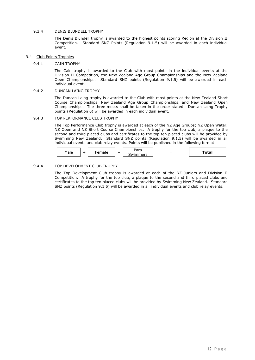# 9.3.4 DENIS BLUNDELL TROPHY

The Denis Blundell trophy is awarded to the highest points scoring Region at the Division II Competition. Standard SNZ Points (Regulation [9.1.5\)](#page-9-3) will be awarded in each individual event.

# <span id="page-11-0"></span>9.4 Club Points Trophies

# 9.4.1 CAIN TROPHY

The Cain trophy is awarded to the Club with most points in the individual events at the Division II Competition, the New Zealand Age Group Championships and the New Zealand Open Championships. Standard SNZ points (Regulation [9.1.5\)](#page-9-3) will be awarded in each individual event.

# 9.4.2 DUNCAN LAING TROPHY

The Duncan Laing trophy is awarded to the Club with most points at the New Zealand Short Course Championships, New Zealand Age Group Championships, and New Zealand Open Championships. The three meets shall be taken in the order stated. Duncan Laing Trophy points (Regulation [0\)](#page-9-4) will be awarded in each individual event.

#### 9.4.3 TOP PERFORMANCE CLUB TROPHY

The Top Performance Club trophy is awarded at each of the NZ Age Groups; NZ Open Water, NZ Open and NZ Short Course Championships. A trophy for the top club, a plaque to the second and third placed clubs and certificates to the top ten placed clubs will be provided by Swimming New Zealand. Standard SNZ points (Regulation [9.1.5\)](#page-9-3) will be awarded in all individual events and club relay events. Points will be published in the following format:

| Male |  | idie |  | $1 - \mu$<br>◡<br>marc<br><b>1771</b> | _ | 'otal |
|------|--|------|--|---------------------------------------|---|-------|
|------|--|------|--|---------------------------------------|---|-------|

# 9.4.4 TOP DEVELOPMENT CLUB TROPHY

The Top Development Club trophy is awarded at each of the NZ Juniors and Division II Competition. A trophy for the top club, a plaque to the second and third placed clubs and certificates to the top ten placed clubs will be provided by Swimming New Zealand. Standard SNZ points (Regulation [9.1.5\)](#page-9-3) will be awarded in all individual events and club relay events.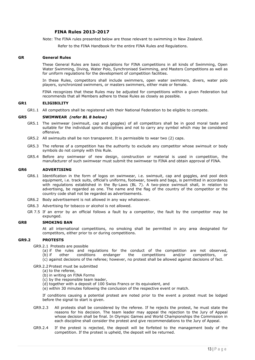# **FINA Rules 2013-2017**

Note: The FINA rules presented below are those relevant to swimming in New Zealand.

Refer to the FINA Handbook for the entire FINA Rules and Regulations.

#### <span id="page-12-0"></span>**GR General Rules**

These General Rules are basic regulations for FINA competitions in all kinds of Swimming, Open Water Swimming, Diving, Water Polo, Synchronised Swimming, and Masters Competitions as well as for uniform regulations for the development of competition facilities.

In these Rules, competitors shall include swimmers, open water swimmers, divers, water polo players, synchronized swimmers, or masters swimmers, either male or female.

FINA recognizes that these Rules may be adjusted for competitions within a given Federation but recommends that all Members adhere to these Rules as closely as possible.

#### **GR1 ELIGIBILITY**

GR1.1 All competitors shall be registered with their National Federation to be eligible to compete.

#### **GR5 SWIMWEAR** *(refer BL 8 below)*

- GR5.1 The swimwear (swimsuit, cap and goggles) of all competitors shall be in good moral taste and suitable for the individual sports disciplines and not to carry any symbol which may be considered offensive.
- GR5.2 All swimsuits shall be non transparent. It is permissible to wear two (2) caps.
- GR5.3 The referee of a competition has the authority to exclude any competitor whose swimsuit or body symbols do not comply with this Rule.
- GR5.4 Before any swimwear of new design, construction or material is used in competition, the manufacturer of such swimwear must submit the swimwear to FINA and obtain approval of FINA.

#### **GR6 ADVERTISING**

- GR6.1 Identification in the form of logos on swimwear, i.e. swimsuit, cap and goggles, and pool deck equipment, i.e. track suits, official's uniforms, footwear, towels and bags, is permitted in accordance with regulations established in the By-Laws (BL 7). A two-piece swimsuit shall, in relation to advertising, be regarded as one. The name and the flag of the country of the competitor or the country code shall not be regarded as advertisements.
- GR6.2 Body advertisement is not allowed in any way whatsoever.
- GR6.3 Advertising for tobacco or alcohol is not allowed.
- GR 7.5 If an error by an official follows a fault by a competitor, the fault by the competitor may be expunged.

#### **GR8 SMOKING BAN**

At all international competitions, no smoking shall be permitted in any area designated for competitors, either prior to or during competitions.

# **GR9.2 PROTESTS**

GR9.2.1 Protests are possible

- (a) if the rules and regulations for the conduct of the competition are not observed,<br>(b) if other conditions endanger the competitions and/or competitors, or endanger the competitions and/or competitors, or
- (c) against decisions of the referee; however, no protest shall be allowed against decisions of fact.

GR9.2.2 Protest must be submitted

- (a) to the referee,
- (b) in writing on FINA Forms
- (c) by the responsible team leader,
- (d) together with a deposit of 100 Swiss Francs or its equivalent, and

(e) within 30 minutes following the conclusion of the respective event or match.

If conditions causing a potential protest are noted prior to the event a protest must be lodged before the signal to start is given.

- GR9.2.3 All protests shall be considered by the referee. If he rejects the protest, he must state the reasons for his decision. The team leader may appeal the rejection to the Jury of Appeal whose decision shall be final. In Olympic Games and World Championships the Commission in each discipline shall consider the protest and give recommendations to the Jury of Appeal.
- GR9.2.4 If the protest is rejected, the deposit will be forfeited to the management body of the competition. If the protest is upheld, the deposit will be returned.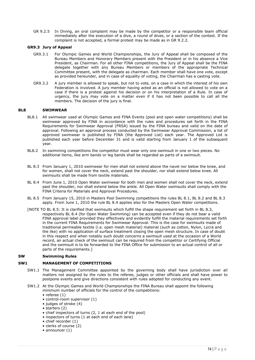GR 9.2.5 In Diving, an oral complaint may be made by the competitor or a responsible team official immediately after the execution of a dive, a round of dives, or a section of the contest. If the complaint is not accepted, a formal protest may be made as in GR 9.2.2.

# **GR9.3 Jury of Appeal**

- GR9.3.1 For Olympic Games and World Championships, the Jury of Appeal shall be composed of the Bureau Members and Honorary Members present with the President or in his absence a Vice President, as Chairman. For all other FINA competitions, the Jury of Appeal shall be the FINA delegate together with any Bureau Members or members of the appropriate Technical Committee present, with the delegate as chairman. Each member shall have one vote, except as provided hereunder, and in case of equality of voting, the Chairman has a casting vote.
- GR9.3.2 A jury member is allowed to speak, but not to vote, on a case in which the interest of his own Federation is involved. A jury member having acted as an official is not allowed to vote on a case if there is a protest against his decision or on his interpretation of a Rule. In case of urgency, the jury may vote on a matter even if it has not been possible to call all the members. The decision of the jury is final.

# **BL8 SWIMWEAR**

- BL8.1 All swimwear used at Olympic Games and FINA Events (pool and open water competitions) shall be swimwear approved by FINA in accordance with the rules and procedures set forth in the FINA Requirements for Swimwear Approval (FRSA) issued by the FINA bureau and valid on the date of approval. Following an approval process conducted by the Swimwear Approval Commission, a list of approved swimwear is published by FINA (the Approved List) each year. The Approved List is published each year before December 31 and is valid starting from January 1 of the subsequent year.
- BL8.2 In swimming competitions the competitor must wear only one swimsuit in one or two pieces. No additional items, like arm bands or leg bands shall be regarded as parts of a swimsuit.
- BL 8.3 From January 1, 2010 swimwear for men shall not extend above the navel nor below the knee, and for women, shall not cover the neck, extend past the shoulder, nor shall extend below knee. All swimsuits shall be made from textile materials.
- BL 8.4 From June 1, 2010 Open Water swimwear for both men and women shall not cover the neck, extend past the shoulder, nor shall extend below the ankle. All Open Water swimsuits shall comply with the FINA Criteria for Materials and Approval Procedures.
- BL 8.5 From January 15, 2010 in Masters Pool Swimming competitions the rules BL 8.1, BL 8.2 and BL 8.3 apply. From June 1, 2010 the rule BL 8.4 applies also for the Masters Open Water competitions.
- [NOTE TO BL 8.5: It is clarified that swimsuits which fulfill the shape requirement set forth in BL 8.3, respectively BL 8.4 (for Open Water Swimming) can be accepted even if they do not bear a valid FINA approval label provided they effectively and evidently fulfill the material requirements set forth in the current FINA Requirements for Swimwear Approval. This is the case for swimsuits made of traditional permeable textile (i.e. open mesh material) material (such as cotton, Nylon, Lycra and the like) with no application of surface treatment closing the open mesh structure. In case of doubt in this respect and when notably such doubt concerns a swimsuit used at the occasion of a World record, an actual check of the swimsuit can be required from the competitor or Certifying Official and the swimsuit is to be forwarded to the FINA Office for submission to an actual control of all or parts of the requirements.]

#### <span id="page-13-0"></span>**SW Swimming Rules**

# <span id="page-13-1"></span>**SW1 MANAGEMENT OF COMPETITIONS**

- SW1.1 The Management Committee appointed by the governing body shall have jurisdiction over all matters not assigned by the rules to the referee, judges or other officials and shall have power to postpone events and give directions consistent with rules adopted for conducting any event.
- SW1.2 At the Olympic Games and World Championships the FINA Bureau shall appoint the following minimum number of officials for the control of the competitions:
	- referee (1)
	- control-room supervisor (1)
	- judges of stroke (4)
	- starters (2)
	- chief inspectors of turns (2, 1 at each end of the pool)
	- inspectors of turns (1 at each end of each lane)
	- chief recorder (1)
	- clerks of course (2)
	- announcer (1)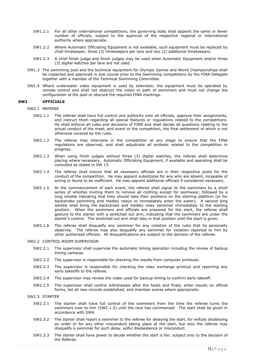- SW1.2.1 For all other international competitions, the governing body shall appoint the same or fewer number of officials, subject to the approval of the respective regional or international authority where appropriate.
- SW1.2.2 Where Automatic Officiating Equipment is not available, such equipment must be replaced by chief timekeeper, three (3) timekeepers per lane and two (2) additional timekeepers.
- SW1.2.3 A chief finish judge and finish judges may be used when Automatic Equipment and/or three (3) digital watches per lane are not used.
- SW1.3 The swimming pool and the technical equipment for Olympic Games and World Championships shall be inspected and approved in due course prior to the Swimming competitions by the FINA Delegate together with a member of the Technical Swimming Committee.
- SW1.4 Where underwater video equipment is used by television, the equipment must be operated by remote control and shall not obstruct the vision or path of swimmers and must not change the configuration of the pool or obscure the required FINA markings.

# <span id="page-14-0"></span>**SW2 OFFICIALS**

- SW2.1 REFEREE
	- SW2.1.1 The referee shall have full control and authority over all officials, approve their assignments, and instruct them regarding all special features or regulations related to the competitions. He shall enforce all rules and decisions of FINA and shall decide all questions relating to the actual conduct of the meet, and event or the competition, the final settlement of which is not otherwise covered by the rules.
	- SW2.1.2 The referee may intervene in the competition at any stage to ensure that the FINA regulations are observed, and shall adjudicate all protests related to the competition in progress.
	- SW2.1.3 When using finish judges without three (3) digital watches, the referee shall determine placing where necessary. Automatic Officiating Equipment, if available and operating shall be consulted as stated in SW 13.
	- SW2.1.4 The referee shall ensure that all necessary officials are in their respective posts for the conduct of the competition. He may appoint substitutes for any who are absent, incapable of acting or found to be inefficient. He may appoint additional officials if considered necessary.
	- SW2.1.5 At the commencement of each event, the referee shall signal to the swimmers by a short series of whistles inviting them to remove all clothing except for swimwear, followed by a long whistle indicating that they should take their positions on the starting platform (or for backstroke swimming and medley relays to immediately enter the water). A second long whistle shall bring the backstroke and medley relay swimmer immediately to the starting position. When the swimmers and officials are prepared for the start, the referee shall gesture to the starter with a stretched out arm, indicating that the swimmers are under the starter's control. The stretched out arm shall stay in that position until the start is given.
	- SW2.1.6 The referee shall disqualify any swimmer for any violation of the rules that he personally observes. The referee may also disqualify any swimmer for violation reported to him by other authorised officials. All disqualifications are subject to the decision of the referee.

# SW2.2 CONTROL-ROOM SUPERVISOR

- SW2.2.1 The supervisor shall supervise the automatic timing operation including the review of backup timing cameras.
- SW2.2.2 The supervisor is responsible for checking the results from computer printouts.
- SW2.2.3 The supervisor is responsible for checking the relay exchange printout and reporting any early takeoffs to the referee.
- SW2.2.4 The supervisor may review the video used for backup timing to confirm early takeoff.
- SW2.2.5 The supervisor shall control withdrawals after the heats and finals, enter results on official forms, list all new records established, and maintain scores where appropriate.

# SW2.3 STARTER

- SW2.3.1 The starter shall have full control of the swimmers from the time the referee turns the swimmers over to him (SW2.1.5) until the race has commenced. The start shall be given in accordance with SW4.
- SW2.3.2 The starter shall report a swimmer to the referee for delaying the start, for wilfully disobeying an order or for any other misconduct taking place at the start, but only the referee may disqualify a swimmer for such delay, wilful disobedience or misconduct.
- SW2.3.3 The starter shall have power to decide whether the start is fair, subject only to the decision of the Referee.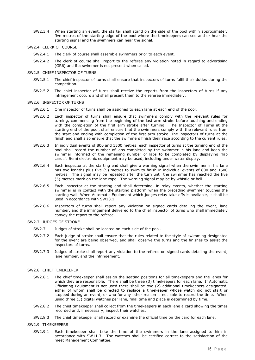- SW2.3.4 When starting an event, the starter shall stand on the side of the pool within approximately five metres of the starting edge of the pool where the timekeepers can see and or hear the starting signal and the swimmers can hear the signal.
- SW2.4 CLERK OF COURSE
	- SW2.4.1 The clerk of course shall assemble swimmers prior to each event.
	- SW2.4.2 The clerk of course shall report to the referee any violation noted in regard to advertising (GR6) and if a swimmer is not present when called.
- SW2.5 CHIEF INSPECTOR OF TURNS
	- SW2.5.1 The chief inspector of turns shall ensure that inspectors of turns fulfil their duties during the competition.
	- SW2.5.2 The chief inspector of turns shall receive the reports from the inspectors of turns if any infringement occurs and shall present them to the referee immediately.

# SW2.6 INSPECTOR OF TURNS

- SW2.6.1 One inspector of turns shall be assigned to each lane at each end of the pool.
- SW2.6.2 Each inspector of turns shall ensure that swimmers comply with the relevant rules for turning, commencing from the beginning of the last arm stroke before touching and ending with the completion of the first arm stroke after turning. The Inspector of Turns at the starting end of the pool, shall ensure that the swimmers comply with the relevant rules from the start and ending with completion of the first arm stroke. The inspectors of turns at the finish end shall also ensure that the swimmers finish their race according to the current rules.
- SW2.6.3 In individual events of 800 and 1500 metres, each inspector of turns at the turning end of the pool shall record the number of laps completed by the swimmer in his lane and keep the swimmer informed of the remaining number of laps to be completed by displaying "lap cards". Semi electronic equipment may be used, including under water display.
- SW2.6.4 Each inspector at the starting end shall give a warning signal when the swimmer in his lane has two lengths plus five (5) metres to swim to finish in individual events of 800 and 1500 metres. The signal may be repeated after the turn until the swimmer has reached the five (5) metres mark on the lane rope. The warning signal may be by whistle or bell.
- SW2.6.5 Each inspector at the starting end shall determine, in relay events, whether the starting swimmer is in contact with the starting platform when the preceding swimmer touches the starting wall. When Automatic Equipment which judges relay take-offs is available, it shall be used in accordance with SW13.1.
- SW2.6.6 Inspectors of turns shall report any violation on signed cards detailing the event, lane number, and the infringement delivered to the chief inspector of turns who shall immediately convey the report to the referee.

# SW2.7 JUDGES OF STROKE

- SW2.7.1 Judges of stroke shall be located on each side of the pool.
- SW2.7.2 Each judge of stroke shall ensure that the rules related to the style of swimming designated for the event are being observed, and shall observe the turns and the finishes to assist the inspectors of turns.
- SW2.7.3 Judges of stroke shall report any violation to the referee on signed cards detailing the event, lane number, and the infringement.

#### SW2.8 CHIEF TIMEKEEPER

- SW2.8.1 The chief timekeeper shall assign the seating positions for all timekeepers and the lanes for which they are responsible. There shall be three (3) timekeepers for each lane. If Automatic Officiating Equipment is not used there shall be two (2) additional timekeepers designated, either of whom shall be directed to replace a timekeeper whose watch did not start or stopped during an event, or who for any other reason is not able to record the time. When using three (3) digital watches per lane, final time and place is determined by time.
- SW2.8.2 The chief timekeeper shall collect from the timekeepers in each lane a card showing the times recorded and, if necessary, inspect their watches.
- SW2.8.3 The chief timekeeper shall record or examine the official time on the card for each lane.

#### SW2.9 TIMEKEEPERS

SW2.9.1 Each timekeeper shall take the time of the swimmers in the lane assigned to him in accordance with SW11.3. The watches shall be certified correct to the satisfaction of the meet Management Committee.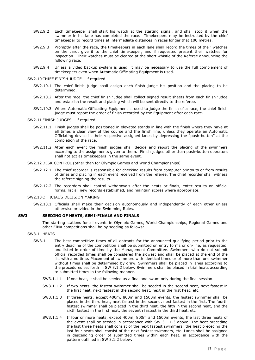- SW2.9.2 Each timekeeper shall start his watch at the starting signal, and shall stop it when the swimmer in his lane has completed the race. Timekeepers may be instructed by the chief timekeeper to record times at intermediate distances in races longer that 100 metres.
- SW2.9.3 Promptly after the race, the timekeepers in each lane shall record the times of their watches on the card, give it to the chief timekeeper, and if requested present their watches for inspection. Their watches must be cleared at the short whistle of the Referee announcing the following race.
- SW2.9.4 Unless a video backup system is used, it may be necessary to use the full complement of timekeepers even when Automatic Officiating Equipment is used.
- SW2.10 CHIEF FINISH JUDGE if required
	- SW2.10.1 The chief finish judge shall assign each finish judge his position and the placing to be determined.
	- SW2.10.2 After the race, the chief finish judge shall collect signed result sheets from each finish judge and establish the result and placing which will be sent directly to the referee.
	- SW2.10.3 Where Automatic Officiating Equipment is used to judge the finish of a race, the chief finish judge must report the order of finish recorded by the Equipment after each race.

#### SW2.11 FINISH JUDGES – if required

- SW2.11.1 Finish judges shall be positioned in elevated stands in line with the finish where they have at all times a clear view of the course and the finish line, unless they operate an Automatic Officiating device in their respective assigned lanes by depressing the "push-button" at the completion of the race.
- SW2.11.2 After each event the finish judges shall decide and report the placing of the swimmers according to the assignments given to them. Finish judges other than push-button operators shall not act as timekeepers in the same event.
- SW2.12 DESK CONTROL (other than for Olympic Games and World Championships)
	- SW2.12.1 The chief recorder is responsible for checking results from computer printouts or from results of times and placing in each event received from the referee. The chief recorder shall witness the referee signing the results.
	- SW2.12.2 The recorders shall control withdrawals after the heats or finals, enter results on official forms, list all new records established, and maintain scores where appropriate.

#### SW2.13 OFFICIAL'S DECISION MAKING

SW2.13.1 Officials shall make their decision autonomously and independently of each other unless otherwise provided in the Swimming Rules.

#### <span id="page-16-0"></span>**SW3 SEEDING OF HEATS, SEMI-FINALS AND FINALS**

The starting stations for all events in Olympic Games, World Championships, Regional Games and other FINA competitions shall be by seeding as follows:

#### SW3.1 HEATS

- SW3.1.1 The best competitive times of all entrants for the announced qualifying period prior to the entry deadline of the competition shall be submitted on entry forms or on-line, as requested, and listed in order of time by the Management Committee. Swimmers who do not submit official recorded times shall be considered the slowest and shall be placed at the end of the list with a no time. Placement of swimmers with identical times or of more than one swimmer without times shall be determined by draw. Swimmers shall be placed in lanes according to the procedures set forth in SW 3.1.2 below. Swimmers shall be placed in trial heats according to submitted times in the following manner.
	- SW3.1.1.1 If one heat, it shall be seeded as a final and swum only during the final session.
	- SW3.1.1.2 If two heats, the fastest swimmer shall be seeded in the second heat, next fastest in the first heat, next fastest in the second heat, next in the first heat, etc.
	- SW3.1.1.3 If three heats, except 400m, 800m and 1500m events, the fastest swimmer shall be placed in the third heat, next fastest in the second, next fastest in the first. The fourth fastest swimmer shall be placed in the third heat, the fifth in the second heat, and the sixth fastest in the first heat, the seventh fastest in the third heat, etc
	- SW3.1.1.4 If four or more heats, except 400m, 800m and 1500m events, the last three heats of the event shall be seeded in accordance with SW 3.1.1.3 above. The heat preceding the last three heats shall consist of the next fastest swimmers; the heat preceding the last four heats shall consist of the next fastest swimmers, etc. Lanes shall be assigned in descending order of submitted times within each heat, in accordance with the pattern outlined in SW 3.1.2 below.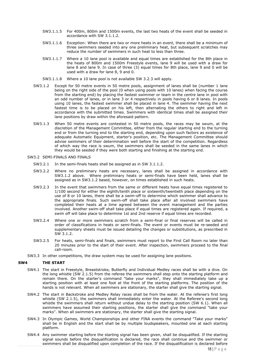- SW3.1.1.5 For 400m, 800m and 1500m events, the last two heats of the event shall be seeded in accordance with SW 3.1.1.2.
- SW3.1.1.6 Exception: When there are two or more heats in an event, there shall be a minimum of three swimmers seeded into any one preliminary heat, but subsequent scratches may reduce the number of swimmers in such heat to less than three.
- SW3.1.1.7 Where a 10 lane pool is available and equal times are established for the 8th place in the heats of 800m and 1500m Freestyle events, lane 9 will be used with a draw for lane 8 and lane 9. In case of three (3) equal times for 8th place, lane 9 and 0 will be used with a draw for lane 8, 9 and 0.
- SW3.1.1.8 Where a 10 lane pool is not available SW 3.2.3 will apply.
- SW3.1.2 Except for 50 metre events in 50 metre pools, assignment of lanes shall be (number 1 lane being on the right side of the pool (0 when using pools with 10 lanes) when facing the course from the starting end) by placing the fastest swimmer or team in the centre lane in pool with an odd number of lanes, or in lane 3 or 4 respectively in pools having 6 or 8 lanes. In pools using 10 lanes, the fastest swimmer shall be placed in lane 4. The swimmer having the next fastest time is to be placed on his left, then alternating the others to right and left in accordance with the submitted times. Swimmers with identical times shall be assigned their lane positions by draw within the aforesaid pattern.
- SW3.1.3 When 50 metre events are contested in 50 metre pools, the races may be swum, at the discretion of the Management Committee, either from the regular starting end to the turning end or from the turning end to the starting end, depending upon such factors as existence of adequate Automatic Equipment, starter's position, etc. The Management Committee should advise swimmers of their determination well before the start of the competition. Regardless of which way the race is swum, the swimmers shall be seeded in the same lanes in which they would be seeded if they were both starting and finishing at the starting end.
- SW3.2 SEMI-FINALS AND FINALS
	- SW3.2.1 In the semi-finals heats shall be assigned as in SW 3.1.1.2.
	- SW3.2.2 Where no preliminary heats are necessary, lanes shall be assigned in accordance with SW3.1.2 above. Where preliminary heats or semi-finals have been held, lanes shall be assigned as in SW3.1.2 based, however, on times established in such heats.
	- SW3.2.3 In the event that swimmers from the same or different heats have equal times registered to 1/100 second for either the eighth/tenth place or sixteenth/twentieth place depending on the use of 8 or 10 lanes, there shall be a swim-off to determine which swimmer shall advance to the appropriate finals. Such swim-off shall take place after all involved swimmers have completed their heats at a time agreed between the event management and the parties involved. Another swim-off shall take place if equal times are registered again. If required, a swim off will take place to determine 1st and 2nd reserve if equal times are recorded.
	- SW3.2.4 Where one or more swimmers scratch from a semi-final or final reserves will be called in order of classifications in heats or semi-finals. The event or events must be re-seeded and supplementary sheets must be issued detailing the changes or substitutions, as prescribed in SW 3.1.2.
	- SW3.2.5 For heats, semi-finals and finals, swimmers must report to the First Call Room no later than 20 minutes prior to the start of their event. After inspection, swimmers proceed to the final call-room.
- SW3.3 In other competitions, the draw system may be used for assigning lane positions.

#### <span id="page-17-0"></span>**SW4 THE START**

- SW4.1 The start in Freestyle, Breaststroke, Butterfly and Individual Medley races shall be with a dive. On the long whistle (SW 2.1.5) from the referee the swimmers shall step onto the starting platform and remain there. On the starter's command "take your marks", they shall immediately take up a starting position with at least one foot at the front of the starting platforms. The position of the hands is not relevant. When all swimmers are stationary, the starter shall give the starting signal.
- SW4.2 The start in Backstroke and Medley Relay races shall be from the water. At the referee's first long whistle (SW 2.1.5), the swimmers shall immediately enter the water. At the Referee's second long whistle the swimmers shall return without undue delay to the starting position (SW 6.1). When all swimmers have assumed their starting positions, the starter shall give the command "take your marks". When all swimmers are stationary, the starter shall give the starting signal.
- SW4.3 In Olympic Games, World Championships and other FINA events the command "Take your marks" shall be in English and the start shall be by multiple loudspeakers, mounted one at each starting platform.
- SW4.4 Any swimmer starting before the starting signal has been given, shall be disqualified. If the starting signal sounds before the disqualification is declared, the race shall continue and the swimmer or swimmers shall be disqualified upon completion of the race. If the disqualification is declared before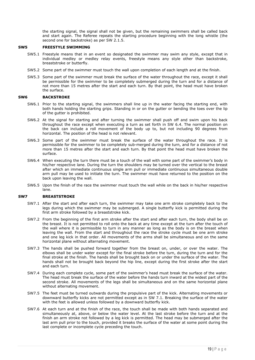the starting signal, the signal shall not be given, but the remaining swimmers shall be called back and start again. The Referee repeats the starting procedure beginning with the long whistle (the second one for backstroke) as per SW 2.1.5.

# <span id="page-18-0"></span>**SW5 FREESTYLE SWIMMING**

- SW5.1 Freestyle means that in an event so designated the swimmer may swim any style, except that in individual medley or medley relay events, freestyle means any style other than backstroke, breaststroke or butterfly.
- SW5.2 Some part of the swimmer must touch the wall upon completion of each length and at the finish.
- SW5.3 Some part of the swimmer must break the surface of the water throughout the race, except it shall be permissible for the swimmer to be completely submerged during the turn and for a distance of not more than 15 metres after the start and each turn. By that point, the head must have broken the surface.

# <span id="page-18-1"></span>**SW6 BACKSTROKE**

- SW6.1 Prior to the starting signal, the swimmers shall line up in the water facing the starting end, with both hands holding the starting grips. Standing in or on the gutter or bending the toes over the lip of the gutter is prohibited.
- SW6.2 At the signal for starting and after turning the swimmer shall push off and swim upon his back throughout the race except when executing a turn as set forth in SW 6.4. The normal position on the back can include a roll movement of the body up to, but not including 90 degrees from horizontal. The position of the head is not relevant.
- SW6.3 Some part of the swimmer must break the surface of the water throughout the race. It is permissible for the swimmer to be completely sub-merged during the turn, and for a distance of not more than 15 metres after the start and each turn. By that point the head must have broken the surface.
- SW6.4 When executing the turn there must be a touch of the wall with some part of the swimmer's body in his/her respective lane. During the turn the shoulders may be turned over the vertical to the breast after which an immediate continuous single arm pull or immediate continuous simultaneous double arm pull may be used to initiate the turn. The swimmer must have returned to the position on the back upon leaving the wall.
- SW6.5 Upon the finish of the race the swimmer must touch the wall while on the back in his/her respective lane.

#### <span id="page-18-2"></span>**SW7 BREASTSTROKE**

- SW7.1 After the start and after each turn, the swimmer may take one arm stroke completely back to the legs during which the swimmer may be submerged. A single butterfly kick is permitted during the first arm stroke followed by a breaststroke kick.
- SW7.2 From the beginning of the first arm stroke after the start and after each turn, the body shall be on the breast. It is not permitted to roll onto the back at any time except at the turn after the touch of the wall where it is permissible to turn in any manner as long as the body is on the breast when leaving the wall. From the start and throughout the race the stroke cycle must be one arm stroke and one leg kick in that order. All movements of the arms shall be simultaneous and on the same horizontal plane without alternating movement.
- SW7.3 The hands shall be pushed forward together from the breast on, under, or over the water. The elbows shall be under water except for the final stroke before the turn, during the turn and for the final stroke at the finish. The hands shall be brought back on or under the surface of the water. The hands shall not be brought back beyond the hip line, except during the first stroke after the start and each turn.
- SW7.4 During each complete cycle, some part of the swimmer's head must break the surface of the water. The head must break the surface of the water before the hands turn inward at the widest part of the second stroke. All movements of the legs shall be simultaneous and on the same horizontal plane without alternating movement.
- SW7.5 The feet must be turned outwards during the propulsive part of the kick. Alternating movements or downward butterfly kicks are not permitted except as in SW 7.1. Breaking the surface of the water with the feet is allowed unless followed by a downward butterfly kick.
- SW7.6 At each turn and at the finish of the race, the touch shall be made with both hands separated and simultaneously at, above, or below the water level. At the last stroke before the turn and at the finish an arm stroke not followed by a leg kick is permitted. The head may be submerged after the last arm pull prior to the touch, provided it breaks the surface of the water at some point during the last complete or incomplete cycle preceding the touch.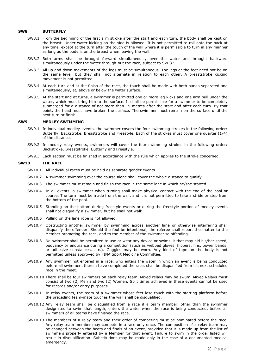#### <span id="page-19-0"></span>**SW8 BUTTERFLY**

- SW8.1 From the beginning of the first arm stroke after the start and each turn, the body shall be kept on the breast. Under water kicking on the side is allowed. It is not permitted to roll onto the back at any time, except at the turn after the touch of the wall where it is permissible to turn in any manner as long as the body is on the breast when leaving the wall.
- SW8.2 Both arms shall be brought forward simultaneously over the water and brought backward simultaneously under the water through-out the race, subject to SW 8.5.
- SW8.3 All up and down movements of the legs must be simultaneous. The legs or the feet need not be on the same level, but they shall not alternate in relation to each other. A breaststroke kicking movement is not permitted.
- SW8.4 At each turn and at the finish of the race, the touch shall be made with both hands separated and simultaneously, at, above or below the water surface.
- SW8.5 At the start and at turns, a swimmer is permitted one or more leg kicks and one arm pull under the water, which must bring him to the surface. It shall be permissible for a swimmer to be completely submerged for a distance of not more than 15 metres after the start and after each turn. By that point, the head must have broken the surface. The swimmer must remain on the surface until the next turn or finish.

#### <span id="page-19-1"></span>**SW9 MEDLEY SWIMMING**

- SW9.1 In individual medley events, the swimmer covers the four swimming strokes in the following order: Butterfly, Backstroke, Breaststroke and Freestyle. Each of the strokes must cover one quarter (1/4) of the distance.
- SW9.2 In medley relay events, swimmers will cover the four swimming strokes in the following order: Backstroke, Breaststroke, Butterfly and Freestyle.
- SW9.3 Each section must be finished in accordance with the rule which applies to the stroke concerned.

#### <span id="page-19-2"></span>**SW10 THE RACE**

- SW10.1 All individual races must be held as separate gender events.
- SW10.2 A swimmer swimming over the course alone shall cover the whole distance to qualify.
- SW10.3 The swimmer must remain and finish the race in the same lane in which he/she started.
- SW10.4 In all events, a swimmer when turning shall make physical contact with the end of the pool or course. The turn must be made from the wall, and it is not permitted to take a stride or step from the bottom of the pool.
- SW10.5 Standing on the bottom during freestyle events or during the freestyle portion of medley events shall not disqualify a swimmer, but he shall not walk.
- SW10.6 Pulling on the lane rope is not allowed.
- SW10.7 Obstructing another swimmer by swimming across another lane or otherwise interfering shall disqualify the offender. Should the foul be intentional, the referee shall report the matter to the Member promoting the race, and to the Member of the swimmer so offending.
- SW10.8 No swimmer shall be permitted to use or wear any device or swimsuit that may aid his/her speed, buoyancy or endurance during a competition (such as webbed gloves, flippers, fins, power bands, or adhesive substances, etc.). Goggles may be worn. Any kind of tape on the body is not permitted unless approved by FINA Sport Medicine Committee.
- SW10.9 Any swimmer not entered in a race, who enters the water in which an event is being conducted before all swimmers therein have completed the race, shall be disqualified from his next scheduled race in the meet.
- SW10.10 There shall be four swimmers on each relay team. Mixed relays may be swum. Mixed Relays must consist of two (2) Men and two (2) Women. Split times achieved in these events cannot be used for records and/or entry purposes.
- SW10.11 In relay events, the team of a swimmer whose feet lose touch with the starting platform before the preceding team-mate touches the wall shall be disqualified.
- SW10.12 Any relay team shall be disqualified from a race if a team member, other than the swimmer designated to swim that length, enters the water when the race is being conducted, before all swimmers of all teams have finished the race.
- SW10.13 The members of a relay team and their order of competing must be nominated before the race. Any relay team member may compete in a race only once. The composition of a relay team may be changed between the heats and finals of an event, provided that it is made up from the list of swimmers properly entered by a Member for that event. Failure to swim in the order listed will result in disqualification. Substitutions may be made only in the case of a documented medical emergency.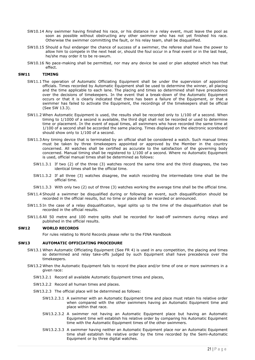- SW10.14 Any swimmer having finished his race, or his distance in a relay event, must leave the pool as soon as possible without obstructing any other swimmer who has not yet finished his race. Otherwise the swimmer committing the fault, or his relay team, shall be disqualified.
- SW10.15 Should a foul endanger the chance of success of a swimmer, the referee shall have the power to allow him to compete in the next heat or, should the foul occur in a final event or in the last heat, he/she may order it to be re-swum.
- SW10.16 No pace-making shall be permitted, nor may any device be used or plan adopted which has that effect.

# <span id="page-20-0"></span>**SW11 TIMING**

- SW11.1 The operation of Automatic Officiating Equipment shall be under the supervision of appointed officials. Times recorded by Automatic Equipment shall be used to determine the winner, all placing and the time applicable to each lane. The placing and times so determined shall have precedence over the decisions of timekeepers. In the event that a break-down of the Automatic Equipment occurs or that it is clearly indicated that there has been a failure of the Equipment, or that a swimmer has failed to activate the Equipment, the recordings of the timekeepers shall be official (See SW 13.3).
- SW11.2 When Automatic Equipment is used, the results shall be recorded only to 1/100 of a second. When timing to 1/1000 of a second is available, the third digit shall not be recorded or used to determine time or placement. In the event of equal times, all swimmers who have recorded the same time at 1/100 of a second shall be accorded the same placing. Times displayed on the electronic scoreboard should show only to 1/100 of a second.
- SW11.3 Any timing device that is terminated by an official shall be considered a watch. Such manual times must be taken by three timekeepers appointed or approved by the Member in the country concerned. All watches shall be certified as accurate to the satisfaction of the governing body concerned. Manual timing shall be registered to 1/100 of a second. Where no Automatic Equipment is used, official manual times shall be determined as follows:
	- SW11.3.1 If two (2) of the three (3) watches record the same time and the third disagrees, the two identical times shall be the official time.
	- SW11.3.2 If all three (3) watches disagree, the watch recording the intermediate time shall be the official time.
	- SW11.3.3 With only two (2) out of three (3) watches working the average time shall be the official time.
- SW11.4 Should a swimmer be disqualified during or following an event, such disqualification should be recorded in the official results, but no time or place shall be recorded or announced.
- SW11.5 In the case of a relay disqualification, legal splits up to the time of the disqualification shall be recorded in the official results.
- SW11.6 All 50 metre and 100 metre splits shall be recorded for lead-off swimmers during relays and published in the official results.

# **SW12 WORLD RECORDS**

For rules relating to World Records please refer to the FINA Handbook

## <span id="page-20-1"></span>**SW13 AUTOMATIC OFFICIATING PROCEDURE**

- SW13.1 When Automatic Officiating Equipment (See FR 4) is used in any competition, the placing and times so determined and relay take-offs judged by such Equipment shall have precedence over the timekeepers.
- SW13.2 When the Automatic Equipment fails to record the place and/or time of one or more swimmers in a given race:
	- SW13.2.1 Record all available Automatic Equipment times and places,
	- SW13.2.2 Record all human times and places.
	- SW13.2.3 The official place will be determined as follows:
		- SW13.2.3.1 A swimmer with an Automatic Equipment time and place must retain his relative order when compared with the other swimmers having an Automatic Equipment time and place within that race.
		- SW13.2.3.2 A swimmer not having an Automatic Equipment place but having an Automatic Equipment time will establish his relative order by comparing his Automatic Equipment time with the Automatic Equipment times of the other swimmers.
		- SW13.2.3.3 A swimmer having neither an Automatic Equipment place nor an Automatic Equipment time shall establish his relative order by the time recorded by the Semi-Automatic Equipment or by three digital watches.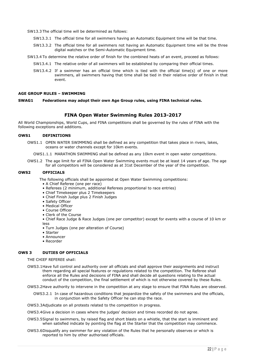SW13.3 The official time will be determined as follows:

- SW13.3.1 The official time for all swimmers having an Automatic Equipment time will be that time.
- SW13.3.2 The official time for all swimmers not having an Automatic Equipment time will be the three digital watches or the Semi-Automatic Equipment time.
- SW13.4 To determine the relative order of finish for the combined heats of an event, proceed as follows:
	- SW13.4.1 The relative order of all swimmers will be established by comparing their official times.
	- SW13.4.2 If a swimmer has an official time which is tied with the official time(s) of one or more swimmers, all swimmers having that time shall be tied in their relative order of finish in that event.

#### <span id="page-21-0"></span>**AGE GROUP RULES – SWIMMING**

**SWAG1 Federations may adopt their own Age Group rules, using FINA technical rules.**

# **FINA Open Water Swimming Rules 2013-2017**

All World Championships, World Cups, and FINA competitions shall be governed by the rules of FINA with the following exceptions and additions.

#### **OWS1 DEFINITIONS**

OWS1.1 OPEN WATER SWIMMING shall be defined as any competition that takes place in rivers, lakes, oceans or water channels except for 10km events.

OWS1.1.1 MARATHON SWIMMING shall be defined as any 10km event in open water competitions.

OWS1.2 The age limit for all FINA Open Water Swimming events must be at least 14 years of age. The age for all competitors will be considered as at 31st December of the year of the competition.

# **OWS2 OFFICIALS**

The following officials shall be appointed at Open Water Swimming competitions:

- A Chief Referee (one per race)
- Referees (2 minimum, additional Referees proportional to race entries)
- Chief Timekeeper plus 2 Timekeepers
- Chief Finish Judge plus 2 Finish Judges
- Safety Officer
- Medical Officer
- Course Officer
- Clerk of the Course

• Chief Race Judge & Race Judges (one per competitor) except for events with a course of 10 km or less

- Turn Judges (one per alteration of Course)
- Starter
- Announcer
- Recorder

# **OWS 3 DUTIES OF OFFICIALS**

THE CHIEF REFEREE shall:

OWS3.1Have full control and authority over all officials and shall approve their assignments and instruct them regarding all special features or regulations related to the competition. The Referee shall enforce all the Rules and decisions of FINA and shall decide all questions relating to the actual conduct of the competition, the final settlement of which is not otherwise covered by these Rules.

OWS3.2Have authority to intervene in the competition at any stage to ensure that FINA Rules are observed.

- OWS3.2.1 In case of hazardous conditions that jeopardize the safety of the swimmers and the officials, in conjunction with the Safety Officer he can stop the race.
- OWS3.3Adjudicate on all protests related to the competition in progress.

OWS3.4Give a decision in cases where the judges' decision and times recorded do not agree.

- OWS3.5Signal to swimmers, by raised flag and short blasts on a whistle, that the start is imminent and when satisfied indicate by pointing the flag at the Starter that the competition may commence.
- OWS3.6Disqualify any swimmer for any violation of the Rules that he personally observes or which is reported to him by other authorised officials.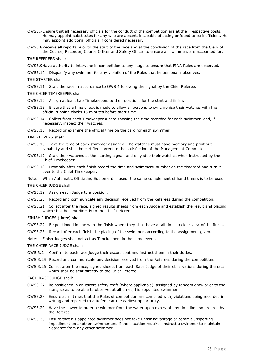- OWS3.7Ensure that all necessary officials for the conduct of the competition are at their respective posts. He may appoint substitutes for any who are absent, incapable of acting or found to be inefficient. He may appoint additional officials if considered necessary.
- OWS3.8Receive all reports prior to the start of the race and at the conclusion of the race from the Clerk of the Course, Recorder, Course Officer and Safety Officer to ensure all swimmers are accounted for.

THE REFEREES shall:

OWS3.9Have authority to intervene in competition at any stage to ensure that FINA Rules are observed.

OWS3.10 Disqualify any swimmer for any violation of the Rules that he personally observes.

THE STARTER shall:

OWS3.11 Start the race in accordance to OWS 4 following the signal by the Chief Referee.

THE CHIEF TIMEKEEPER shall:

OWS3.12 Assign at least two Timekeepers to their positions for the start and finish.

- OWS3.13 Ensure that a time check is made to allow all persons to synchronise their watches with the official running clocks 15 minutes before start time.
- OWS3.14 Collect from each Timekeeper a card showing the time recorded for each swimmer, and, if necessary, inspect their watches.

OWS3.15 Record or examine the official time on the card for each swimmer.

TIMEKEEPERS shall:

- OWS3.16 Take the time of each swimmer assigned. The watches must have memory and print out capability and shall be certified correct to the satisfaction of the Management Committee.
- OWS3.17 Start their watches at the starting signal, and only stop their watches when instructed by the Chief Timekeeper.
- OWS3.18 Promptly after each finish record the time and swimmers' number on the timecard and turn it over to the Chief Timekeeper.

Note: When Automatic Officiating Equipment is used, the same complement of hand timers is to be used.

THE CHIEF JUDGE shall:

- OWS3.19 Assign each Judge to a position.
- OWS3.20 Record and communicate any decision received from the Referees during the competition.
- OWS3.21 Collect after the race, signed results sheets from each Judge and establish the result and placing which shall be sent directly to the Chief Referee.

FINISH JUDGES (three) shall:

OWS3.22 Be positioned in line with the finish where they shall have at all times a clear view of the finish.

OWS3.23 Record after each finish the placing of the swimmers according to the assignment given.

Note: Finish Judges shall not act as Timekeepers in the same event.

THE CHIEF RACE JUDGE shall:

- OWS 3.24 Confirm to each race judge their escort boat and instruct them in their duties.
- OWS 3.25 Record and communicate any decision received from the Referees during the competition.
- OWS 3.26 Collect after the race, signed sheets from each Race Judge of their observations during the race which shall be sent directly to the Chief Referee.

EACH RACE JUDGE shall:

- OWS3.27 Be positioned in an escort safety craft (where applicable), assigned by random draw prior to the start, so as to be able to observe, at all times, his appointed swimmer.
- OWS3.28 Ensure at all times that the Rules of competition are complied with, violations being recorded in writing and reported to a Referee at the earliest opportunity.
- OWS3.29 Have the power to order a swimmer from the water upon expiry of any time limit so ordered by the Referee.
- OWS3.30 Ensure that his appointed swimmer does not take unfair advantage or commit unsporting impediment on another swimmer and if the situation requires instruct a swimmer to maintain clearance from any other swimmer.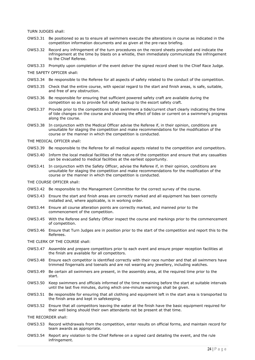TURN JUDGES shall:

- OWS3.31 Be positioned so as to ensure all swimmers execute the alterations in course as indicated in the competition information documents and as given at the pre-race briefing.
- OWS3.32 Record any infringement of the turn procedures on the record sheets provided and indicate the infringement at the time by blasts on a whistle, then immediately communicate the infringement to the Chief Referee.
- OWS3.33 Promptly upon completion of the event deliver the signed record sheet to the Chief Race Judge.

THE SAFETY OFFICER shall:

- OWS3.34 Be responsible to the Referee for all aspects of safety related to the conduct of the competition.
- OWS3.35 Check that the entire course, with special regard to the start and finish areas, is safe, suitable, and free of any obstruction.
- OWS3.36 Be responsible for ensuring that sufficient powered safety craft are available during the competition so as to provide full safety backup to the escort safety craft.
- OWS3.37 Provide prior to the competitions to all swimmers a tide/current chart clearly indicating the time of tide changes on the course and showing the effect of tides or current on a swimmer's progress along the course.
- OWS3.38 In conjunction with the Medical Officer advise the Referee if, in their opinion, conditions are unsuitable for staging the competition and make recommendations for the modification of the course or the manner in which the competition is conducted.

THE MEDICAL OFFICER shall:

- OWS3.39 Be responsible to the Referee for all medical aspects related to the competition and competitors.
- OWS3.40 Inform the local medical facilities of the nature of the competition and ensure that any casualties can be evacuated to medical facilities at the earliest opportunity.
- OWS3.41 In conjunction with the Safety Officer, advise the Referee if, in their opinion, conditions are unsuitable for staging the competition and make recommendations for the modification of the course or the manner in which the competition is conducted.

THE COURSE OFFICER shall:

- OWS3.42 Be responsible to the Management Committee for the correct survey of the course.
- OWS3.43 Ensure the start and finish areas are correctly marked and all equipment has been correctly installed and, where applicable, is in working order.
- OWS3.44 Ensure all course alteration points are correctly marked, and manned prior to the commencement of the competition.
- OWS3.45 With the Referee and Safety Officer inspect the course and markings prior to the commencement of competition.
- OWS3.46 Ensure that Turn Judges are in position prior to the start of the competition and report this to the Referees.

# THE CLERK OF THE COURSE shall:

- OWS3.47 Assemble and prepare competitors prior to each event and ensure proper reception facilities at the finish are available for all competitors.
- OWS3.48 Ensure each competitor is identified correctly with their race number and that all swimmers have trimmed fingernails and toenails and are not wearing any jewellery, including watches.
- OWS3.49 Be certain all swimmers are present, in the assembly area, at the required time prior to the start.
- OWS3.50 Keep swimmers and officials informed of the time remaining before the start at suitable intervals until the last five minutes, during which one-minute warnings shall be given.
- OWS3.51 Be responsible for ensuring that all clothing and equipment left in the start area is transported to the finish area and kept in safekeeping.
- OWS3.52 Ensure that all competitors leaving the water at the finish have the basic equipment required for their well being should their own attendants not be present at that time.

THE RECORDER shall:

- OWS3.53 Record withdrawals from the competition, enter results on official forms, and maintain record for team awards as appropriate.
- OWS3.54 Report any violation to the Chief Referee on a signed card detailing the event, and the rule infringement.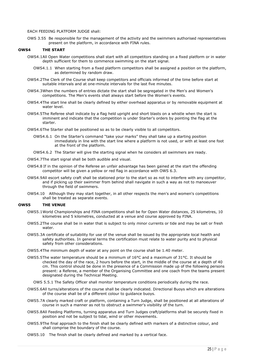# EACH FEEDING PLATFORM JUDGE shall:

OWS 3.55 Be responsible for the management of the activity and the swimmers authorised representatives present on the platform, in accordance with FINA rules.

## **OWS4 THE START**

- OWS4.1All Open Water competitions shall start with all competitors standing on a fixed platform or in water depth sufficient for them to commence swimming on the start signal.
	- OWS4.1.1 When starting from a fixed platform competitors shall be assigned a position on the platform, as determined by random draw.
- OWS4.2The Clerk of the Course shall keep competitors and officials informed of the time before start at suitable intervals and at one-minute intervals for the last five minutes.
- OWS4.3When the numbers of entries dictate the start shall be segregated in the Men's and Women's competitions. The Men's events shall always start before the Women's events.
- OWS4.4The start line shall be clearly defined by either overhead apparatus or by removable equipment at water level.
- OWS4.5The Referee shall indicate by a flag held upright and short blasts on a whistle when the start is imminent and indicate that the competition is under Starter's orders by pointing the flag at the starter.
- OWS4.6The Starter shall be positioned so as to be clearly visible to all competitors.
	- OWS4.6.1 On the Starter's command "take your marks" they shall take up a starting position immediately in line with the start line where a platform is not used, or with at least one foot at the front of the platform.
	- OWS4.6.2 The Starter will give the starting signal when he considers all swimmers are ready.
- OWS4.7The start signal shall be both audible and visual.
- OWS4.8 If in the opinion of the Referee an unfair advantage has been gained at the start the offending competitor will be given a yellow or red flag in accordance with OWS 6.3.
- OWS4.9All escort safety craft shall be stationed prior to the start so as not to interfere with any competitor, and if picking up their swimmer from behind shall navigate in such a way as not to manoeuver through the field of swimmers.
- OWS4.10 Although they may start together, in all other respects the men's and women's competitions shall be treated as separate events.

## **OWS5 THE VENUE**

- OWS5.1World Championships and FINA competitions shall be for Open Water distances, 25 kilometres, 10 kilometres and 5 kilometres, conducted at a venue and course approved by FINA.
- OWS5.2The course shall be in water that is subject to only minor currents or tide and may be salt or fresh water.
- OWS5.3A certificate of suitability for use of the venue shall be issued by the appropriate local health and safety authorities. In general terms the certification must relate to water purity and to physical safety from other considerations.
- OWS5.4The minimum depth of water at any point on the course shall be 1.40 meter.
- OWS5.5The water temperature should be a minimum of 16°C and a maximum of 31°C. It should be checked the day of the race, 2 hours before the start, in the middle of the course at a depth of 40 cm. This control should be done in the presence of a Commission made up of the following persons present: a Referee, a member of the Organising Committee and one coach from the teams present designated during the Technical Meeting.

OWS 5.5.1 The Safety Officer shall monitor temperature conditions periodically during the race.

- OWS5.6All turns/alterations of the course shall be clearly indicated. Directional Buoys which are alterations of the course shall be of a different colour to guidance buoys.
- OWS5.7A clearly marked craft or platform, containing a Turn Judge, shall be positioned at all alterations of course in such a manner as not to obstruct a swimmer's visibility of the turn.
- OWS5.8All Feeding Platforms, turning apparatus and Turn Judges craft/platforms shall be securely fixed in position and not be subject to tidal, wind or other movements.
- OWS5.9The final approach to the finish shall be clearly defined with markers of a distinctive colour, and shall comprise the boundary of the course.
- OWS5.10 The finish shall be clearly defined and marked by a vertical face.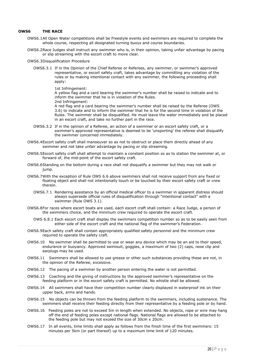# **OWS6 THE RACE**

- OWS6.1All Open Water competitions shall be Freestyle events and swimmers are required to complete the whole course, respecting all designated turning buoys and course boundaries.
- OWS6.2Race Judges shall instruct any swimmer who is, in their opinion, taking unfair advantage by pacing or slip streaming with the escort craft to move clear.

#### OWS6.3Disqualification Procedure

OWS6.3.1 If in the Opinion of the Chief Referee or Referees, any swimmer, or swimmer's approved representative, or escort safety craft, takes advantage by committing any violation of the rules or by making intentional contact with any swimmer, the following proceeding shall apply:

1st Infringement:

A yellow flag and a card bearing the swimmer's number shall be raised to indicate and to inform the swimmer that he is in violation of the Rules. 2nd Infringement:

A red flag and a card bearing the swimmer's number shall be raised by the Referee (OWS 3.6) to indicate and to inform the swimmer that he is for the second time in violation of the Rules. The swimmer shall be disqualified. He must leave the water immediately and be placed in an escort craft, and take no further part in the race.

- OWS6.3.2 If in the opinion of a Referee, an action of a swimmer or an escort safety craft, or a swimmer's approved representative is deemed to be 'unsporting' the referee shall disqualify the swimmer concerned immediately.
- OWS6.4Escort safety craft shall manoeuver so as not to obstruct or place them directly ahead of any swimmer and not take unfair advantage by pacing or slip streaming.
- OWS6.5Escort safety craft shall attempt to maintain a constant position so as to station the swimmer at, or forward of, the mid-point of the escort safety craft.
- OWS6.6Standing on the bottom during a race shall not disqualify a swimmer but they may not walk or jump.
- OWS6.7With the exception of Rule OWS 6.6 above swimmers shall not receive support from any fixed or floating object and shall not intentionally touch or be touched by their escort safety craft or crew therein.
	- OWS6.7.1 Rendering assistance by an official medical officer to a swimmer in apparent distress should always supersede official rules of disqualification through "intentional contact" with a swimmer (Rule OWS 3.1).
- OWS6.8For races where escort boats are used, each escort craft shall contain: a Race Judge, a person of the swimmers choice, and the minimum crew required to operate the escort craft.
	- OWS 6.8.1 Each escort craft shall display the swimmers competition number so as to be easily seen from either side of the escort craft and the national flag of the swimmer's Federation.
- OWS6.9Each safety craft shall contain appropriately qualified safety personnel and the minimum crew required to operate the safety craft.
- OWS6.10 No swimmer shall be permitted to use or wear any device which may be an aid to their speed, endurance or buoyancy. Approved swimsuit, goggles, a maximum of two (2) caps, nose clip and earplugs may be used.
- OWS6.11 Swimmers shall be allowed to use grease or other such substances providing these are not, in the opinion of the Referee, excessive.
- OWS6.12 The pacing of a swimmer by another person entering the water is not permitted.
- OWS6.13 Coaching and the giving of instructions by the approved swimmer's representative on the feeding platform or in the escort safety craft is permitted. No whistle shall be allowed.
- OWS6.14 All swimmers shall have their competition number clearly displayed in waterproof ink on their upper back, arms and hands.
- OWS6.15 No objects can be thrown from the feeding platform to the swimmers, including sustenance. The swimmers shall receive their feeding directly from their representative by a feeding pole or by hand.
- OWS6.16 Feeding poles are not to exceed 5m in length when extended. No objects, rope or wire may hang off the end of feeding poles except national flags. National flags are allowed to be attached to the feeding pole but may not exceed the size of 30cm x 20cm.
- OWS6.17 In all events, time limits shall apply as follows from the finish time of the first swimmers: 15 minutes per 5km (or part thereof) up to a maximum time limit of 120 minutes.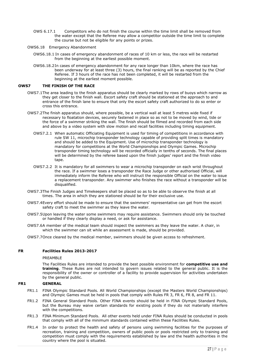- OWS 6.17.1 Competitors who do not finish the course within the time limit shall be removed from the water except that the Referee may allow a competitor outside the time limit to complete the course but not be eligible for any points or prizes.
- OWS6.18 Emergency Abandonment
	- OWS6.18.1 In cases of emergency abandonment of races of 10 km or less, the race will be restarted from the beginning at the earliest possible moment.
	- OWS6.18.2In cases of emergency abandonment for any race longer than 10km, where the race has been underway for at least three (3) hours, the final ranking will be as reported by the Chief Referee. If 3 hours of the race has not been completed, it will be restarted from the beginning at the earliest moment possible.

# **OWS7 THE FINISH OF THE RACE**

- OWS7.1The area leading to the finish apparatus should be clearly marked by rows of buoys which narrow as they get closer to the finish wall. Escort safety craft should be stationed at the approach to and entrance of the finish lane to ensure that only the escort safety craft authorized to do so enter or cross this entrance.
- OWS7.2The finish apparatus should, where possible, be a vertical wall at least 5 metres wide fixed if necessary to floatation devices, securely fastened in place so as not to be moved by wind, tide or the force of a swimmer striking the wall. The finish should be filmed and recorded from each side and above by a video system with slow motion and recall facilities including timing equipment.
	- OWS7.2.1 When automatic Officiating Equipment is used for timing of competitions in accordance with rule SW 11, microchip transponder technology capable of providing split times is mandatory and should be added to the Equipment. Use of microchip transponder technology is mandatory for competitions at the World Championships and Olympic Games. Microchip transponder timing technology will be recorded officially in tenths of seconds. The final places will be determined by the referee based upon the finish judges' report and the finish video tape.
	- OWS7.2.2 It is mandatory for all swimmers to wear a microchip transponder on each wrist throughout the race. If a swimmer loses a transponder the Race Judge or other authorised Official, will immediately inform the Referee who will instruct the responsible Official on the water to issue a replacement transponder. Any swimmer who finishes the race without a transponder will be disqualified.
- OWS7.3The Finish Judges and Timekeepers shall be placed so as to be able to observe the finish at all times. The area in which they are stationed should be for their exclusive use.
- OWS7.4Every effort should be made to ensure that the swimmers' representative can get from the escort safety craft to meet the swimmer as they leave the water.
- OWS7.5Upon leaving the water some swimmers may require assistance. Swimmers should only be touched or handled if they clearly display a need, or ask for assistance.
- OWS7.6A member of the medical team should inspect the swimmers as they leave the water. A chair, in which the swimmer can sit while an assessment is made, should be provided.
- OWS7.7Once cleared by the medical member, swimmers should be given access to refreshment.

# <span id="page-26-0"></span>**FR Facilities Rules 2013-2017**

#### PREAMBLE

The Facilities Rules are intended to provide the best possible environment for **competitive use and training**. These Rules are not intended to govern issues related to the general public. It is the responsibility of the owner or controller of a facility to provide supervision for activities undertaken by the general public.

# <span id="page-26-1"></span>**FR1 GENERAL**

- FR1.1 FINA Olympic Standard Pools. All World Championships (except the Masters World Championships) and Olympic Games must be held in pools that comply with Rules FR 3, FR 6, FR 8, and FR 11.
- FR1.2 FINA General Standard Pools. Other FINA events should be held in FINA Olympic Standard Pools, but the Bureau may waive certain standards for existing pools if they do not materially interfere with the competitions.
- FR1.3 FINA Minimum Standard Pools. All other events held under FINA Rules should be conducted in pools that comply with all of the minimum standards contained within these Facilities Rules.
- FR1.4 In order to protect the health and safety of persons using swimming facilities for the purposes of recreation, training and competition, owners of public pools or pools restricted only to training and competition must comply with the requirements established by law and the health authorities in the country where the pool is situated.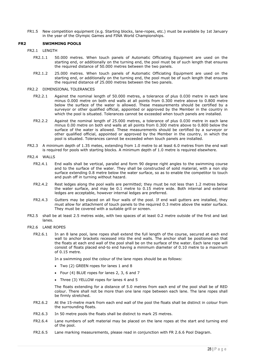FR1.5 New competition equipment (e.g. Starting blocks, lane-ropes, etc.) must be available by 1st January in the year of the Olympic Games and FINA World Championships.

# <span id="page-27-0"></span>**FR2 SWIMMING POOLS**

- FR2.1 LENGTH
	- FR2.1.1 50.000 metres. When touch panels of Automatic Officiating Equipment are used on the starting end, or additionally on the turning end, the pool must be of such length that ensures the required distance of 50.000 metres between the two panels.
	- FR2.1.2 25.000 metres. When touch panels of Automatic Officiating Equipment are used on the starting end, or additionally on the turning end, the pool must be of such length that ensures the required distance of 25.000 metres between the two panels.

#### FR2.2 DIMENSIONAL TOLERANCES

- FR2.2.1 Against the nominal length of 50.000 metres, a tolerance of plus 0.030 metre in each lane minus 0.000 metre on both end walls at all points from 0.300 metre above to 0.800 metre below the surface of the water is allowed. These measurements should be certified by a surveyor or other qualified official, appointed or approved by the Member in the country in which the pool is situated. Tolerances cannot be exceeded when touch panels are installed.
- FR2.2.2 Against the nominal length of 25.000 metres, a tolerance of plus 0.030 metre in each lane minus 0.00 metre on both end walls at all points from 0.300 metre above to 0.800 below the surface of the water is allowed. These measurements should be certified by a surveyor or other qualified official, appointed or approved by the Member in the country, in which the pool is situated. Tolerances cannot be exceeded when touch panels are installed.
- FR2.3 A minimum depth of 1.35 metes, extending from 1.0 metre to at least 6.0 metres from the end wall is required for pools with starting blocks. A minimum depth of 1.0 metre is required elsewhere.
- FR2.4 WALLS
	- FR2.4.1 End walls shall be vertical, parallel and form 90 degree right angles to the swimming course and to the surface of the water. They shall be constructed of solid material, with a non slip surface extending 0.8 metre below the water surface, so as to enable the competitor to touch and push off in turning without hazard.
	- FR2.4.2 Rest ledges along the pool walls are permitted; they must be not less than 1.2 metres below the water surface, and may be 0.1 metre to 0.15 metre wide. Both internal and external ledges are acceptable, however internal ledges are preferred.
	- FR2.4.3 Gutters may be placed on all four walls of the pool. If end wall gutters are installed, they must allow for attachment of touch panels to the required 0.3 metre above the water surface. They must be covered with a suitable grill or screen.
- FR2.5 shall be at least 2.5 metres wide, with two spaces of at least 0.2 metre outside of the first and last lanes.
- FR2.6 LANE ROPES
	- FR2.6.1 In an 8 lane pool, lane ropes shall extend the full length of the course, secured at each end wall to anchor brackets recessed into the end walls. The anchor shall be positioned so that the floats at each end wall of the pool shall be on the surface of the water. Each lane rope will consist of floats placed end-to end having a minimum diameter of 0.10 metre to a maximum of 0.15 metre.

In a swimming pool the colour of the lane ropes should be as follows:

- Two (2) GREEN ropes for lanes 1 and 8
- Four (4) BLUE ropes for lanes 2, 3, 6 and 7
- Three (3) YELLOW ropes for lanes 4 and 5

The floats extending for a distance of 5.0 metres from each end of the pool shall be of RED colour. There shall not be more than one lane rope between each lane. The lane ropes shall be firmly stretched.

- FR2.6.2 At the 15-metre mark from each end wall of the pool the floats shall be distinct in colour from the surrounding floats.
- FR2.6.3 In 50 metre pools the floats shall be distinct to mark 25 metres.
- FR2.6.4 Lane numbers of soft material may be placed on the lane ropes at the start and turning end of the pool.
- FR2.6.5 Lane marking measurements, please read in conjunction with FR 2.6.6 Pool Diagram.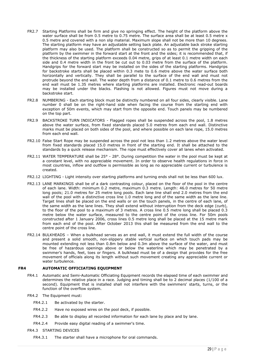- FR2.7 Starting Platforms shall be firm and give no springing effect. The height of the platform above the water surface shall be from 0.5 metre to 0.75 metre. The surface area shall be at least 0.5 metre x 0.5 metre and covered with a non slip material. Maximum slope shall not be more than 10 degrees. The starting platform may have an adjustable setting back plate. An adjustable back stroke starting platform may also be used. The platform shall be constructed so as to permit the gripping of the platform by the swimmer in the forward start at the front and the sides; it is recommended that, if the thickness of the starting platform exceeds 0.04 metre, grips of at least 0.1 metre width on each side and 0.4 metre width in the front be cut out to 0.03 metre from the surface of the platform. Handgrips for the forward start may be installed on the sides of the starting platforms. Handgrips for backstroke starts shall be placed within 0.3 mete to 0.6 metre above the water surface both horizontally and vertically. They shall be parallel to the surface of the end wall and must not protrude beyond the end wall. The water depth from a distance of 0.1 metre to 0.6 metres from the end wall must be 1.35 metres where starting platforms are installed. Electronic read-out boards may be installed under the blacks. Flashing is not allowed. Figures must not move during a backstroke start.
- FR2.8 NUMBERING Each starting block must be distinctly numbered on all four sides, clearly visible. Lane number 0 shall be on the right-hand side when facing the course from the starting end with exception of 50m events, which may start from the opposite end. Touch panels may be numbered on the top part.
- FR2.9 BACKSTROKE TURN INDICATORS Flagged ropes shall be suspended across the pool, 1.8 metres above the water surface, from fixed standards placed 5.0 metres from each end wall. Distinctive marks must be placed on both sides of the pool, and where possible on each lane rope, 15.0 metres from each end wall.
- FR2.10 False Start Rope may be suspended across the pool not less than 1.2 metres above the water level from fixed standards placed 15.0 metres in front of the starting end. It shall be attached to the standards by a quick release mechanism. The rope must effectively cover all lanes when activated.
- FR2.11 WATER TEMPERATURE shall be 25° 28°. During competition the water in the pool must be kept at a constant level, with no appreciable movement. In order to observe health regulations in force in most countries, inflow and outflow is permissible as long as no appreciable current or turbulence is created.
- FR2.12 LIGHTING Light intensity over starting platforms and turning ends shall not be less than 600 lux.
- FR2.13 LANE MARKINGS shall be of a dark contrasting colour, placed on the floor of the pool in the centre of each lane. Width: minimum 0.2 metre, maximum 0.3 metre. Length: 46.0 metres for 50 metre long pools; 21.0 metres for 25 metre long pools. Each lane line shall end 2.0 metres from the end wall of the pool with a distinctive cross line 1.0 metre long and of the same width as the lane line. Target lines shall be placed on the end walls or on the touch panels, in the centre of each lane, of the same width as the lane lines. They shall extend without interruption from the deck edge (curb), to the floor of the pool to a maximum of 3 metres. A cross line 0.5 metre long shall be placed 0.3 metre below the water surface, measured to the centre point of the cross line. For 50m pools constructed after 1 January 2006, cross lines 0.5 metre long shall be placed at the 15 metre mark from each end of the pool. After October 2013 this shall be measured from the end wall to the centre point of the cross line.
- FR2.14 BULKHEADS When a bulkhead serves as an end wall, it must extend the full width of the course and present a solid smooth, non-slippery stable vertical surface on which touch pads may be mounted extending not less than 0.8m below and 0.3m above the surface of the water, and must be free of hazardous openings above or below the waterline which may be penetrated by a swimmer's hands, feet, toes or fingers. A bulkhead must be of a design that provides for the free movement of officials along its length without such movement creating any appreciable current or water turbulence.

# <span id="page-28-0"></span>**FR4 AUTOMATIC OFFICIATING EQUIPMENT**

- FR4.1 Automatic and Semi-Automatic Officiating Equipment records the elapsed time of each swimmer and determines the relative place in a race. Judging and timing shall be to 2 decimal places (1/100 of a second). Equipment that is installed shall not interfere with the swimmers' starts, turns, or the function of the overflow system.
- FR4.2 The Equipment must:
	- FR4.2.1 Be activated by the starter.
	- FR4.2.2 Have no exposed wires on the pool deck, if possible.
	- FR4.2.3 Be able to display all recorded information for each lane by place and by lane.
	- FR4.2.4 Provide easy digital reading of a swimmer's time.

## FR4.3 STARTING DEVICES

FR4.3.1 The starter shall have a microphone for oral commands.